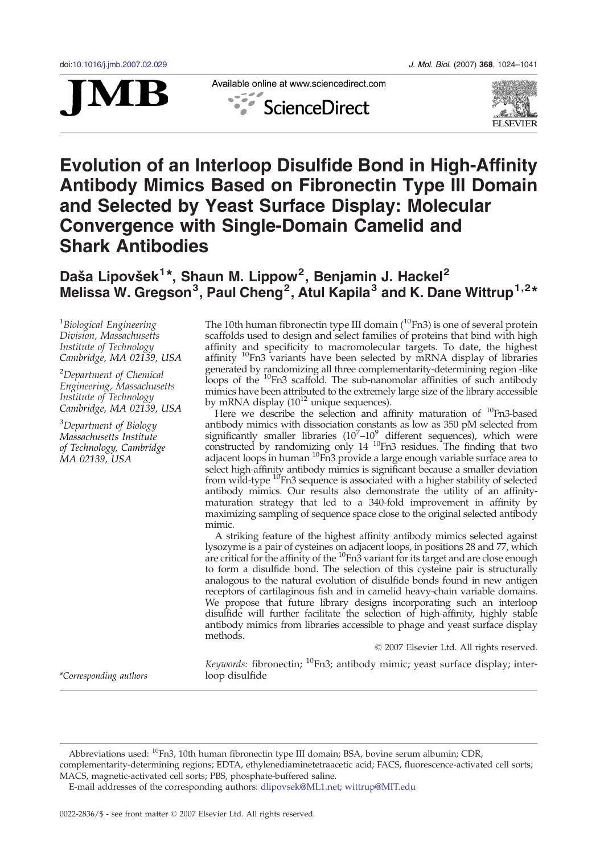

Available online at www.sciencedirect.com





# Evolution of an Interloop Disulfide Bond in High-Affinity Antibody Mimics Based on Fibronectin Type III Domain and Selected by Yeast Surface Display: Molecular Convergence with Single-Domain Camelid and Shark Antibodies

# Daša Lipovšek<sup>1\*</sup>, Shaun M. Lippow<sup>2</sup>, Benjamin J. Hackel<sup>2</sup> Melissa W. Gregson<sup>3</sup>, Paul Cheng<sup>2</sup>, Atul Kapila<sup>3</sup> and K. Dane Wittrup<sup>1,2</sup>\*

<sup>1</sup>Biological Engineering Division, Massachusetts Institute of Technology, Cambridge, MA 02139, USA

<sup>2</sup>Department of Chemical Engineering, Massachusetts Institute of Technology, Cambridge, MA 02139, USA

<sup>3</sup>Department of Biology Massachusetts Institute of Technology, Cambridge, MA 02139, USA

The 10th human fibronectin type III domain  $(^{10}Fn3)$  is one of several protein scaffolds used to design and select families of proteins that bind with high affinity and specificity to macromolecular targets. To date, the highest affinity <sup>10</sup>Fn3 variants have been selected by mRNA display of libraries generated by randomizing all three complementarity-determining region -like loops of the <sup>10</sup>Fn3 scaffold. The sub-nanomolar affinities of such antibody mimics have been attributed to the extremely large size of the library accessible by mRNA display  $(10^{12}$  unique sequences).

Here we describe the selection and affinity maturation of  $^{10}$ Fn3-based antibody mimics with dissociation constants as low as 350 pM selected from significantly smaller libraries  $(10^7-10^9)$  different sequences), which were constructed by randomizing only  $14^{-10}$ Fn3 residues. The finding that two adjacent loops in human <sup>10</sup>Fn3 provide a large enough variable surface area to select high-affinity antibody mimics is significant because a smaller deviation from wild-type <sup>10</sup>Fn3 sequence is associated with a higher stability of selected antibody mimics. Our results also demonstrate the utility of an affinitymaturation strategy that led to a 340-fold improvement in affinity by maximizing sampling of sequence space close to the original selected antibody mimic.

A striking feature of the highest affinity antibody mimics selected against lysozyme is a pair of cysteines on adjacent loops, in positions 28 and 77, which are critical for the affinity of the <sup>10</sup>Fn3 variant for its target and are close enough to form a disulfide bond. The selection of this cysteine pair is structurally analogous to the natural evolution of disulfide bonds found in new antigen receptors of cartilaginous fish and in camelid heavy-chain variable domains. We propose that future library designs incorporating such an interloop disulfide will further facilitate the selection of high-affinity, highly stable antibody mimics from libraries accessible to phage and yeast surface display methods.

© 2007 Elsevier Ltd. All rights reserved.

\*Corresponding authors

Keywords: fibronectin;  $^{10}$ Fn3; antibody mimic; yeast surface display; interloop disulfide

Abbreviations used: 10Fn3, 10th human fibronectin type III domain; BSA, bovine serum albumin; CDR, complementarity-determining regions; EDTA, ethylenediaminetetraacetic acid; FACS, fluorescence-activated cell sorts;

MACS, magnetic-activated cell sorts; PBS, phosphate-buffered saline.

E-mail addresses of the corresponding authors: [dlipovsek@ML1.net](mailto:dlipovsek@ML1.net); [wittrup@MIT.edu](mailto:wittrup@MIT.edu)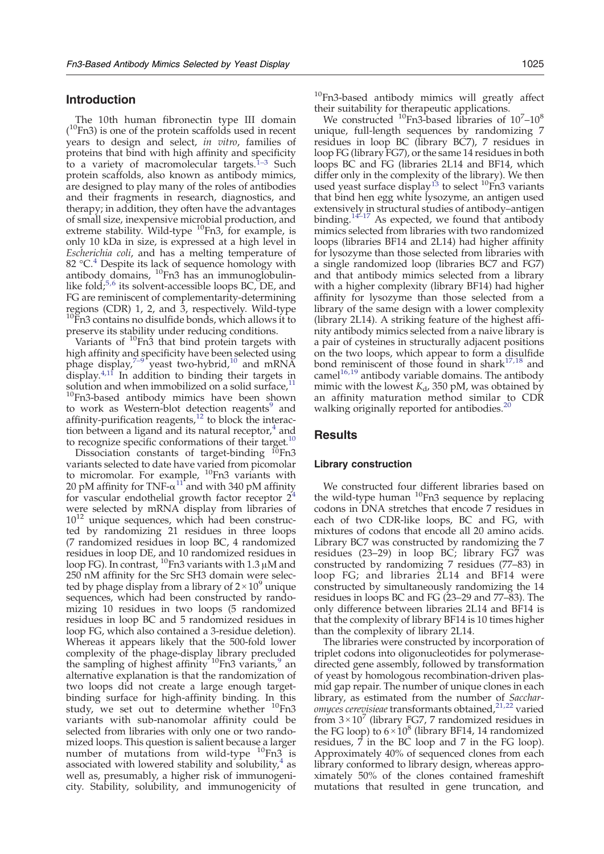# Introduction

The 10th human fibronectin type III domain  $($ <sup>10</sup>Fn3) is one of the protein scaffolds used in recent years to design and select, in vitro, families of proteins that bind with high affinity and specificity to a variety of macromolecular targets. $1-3$  $1-3$  Such protein scaffolds, also known as antibody mimics, are designed to play many of the roles of antibodies and their fragments in research, diagnostics, and therapy; in addition, they often have the advantages of small size, inexpensive microbial production, and extreme stability. Wild-type <sup>10</sup>Fn3, for example, is only 10 kDa in size, is expressed at a high level in Escherichia coli, and has a melting temperature of 82  $^{\circ}$ C.<sup>[4](#page-16-0)</sup> Despite its lack of sequence homology with antibody domains,  $^{10}$ Fn3 has an immunoglobulinlike fold; $5,6$  $5,6$  $5,6$  its solvent-accessible loops BC, DE, and FG are reminiscent of complementarity-determining regions (CDR) 1, 2, and 3, respectively. Wild-type  $10$ Fn3 contains no disulfide bonds, which allows it to preserve its stability under reducing conditions.

Variants of  $^{10}$ Fn3 that bind protein targets with high affinity a[nd s](#page-16-0)pecificity have been selected using<br>phage display[,](#page-16-0)<sup>7-9</sup> yeast two-hybrid,<sup>[10](#page-16-0)</sup> and mRNA display. $4,11$  In addition to binding their targets in solution and when immobilized on a solid surface, $11$ <sup>10</sup>Fn3-based antibody mimics have been shown to work as Western-blot detection reagents<sup>[9](#page-16-0)</sup> and affinity-purification reagents, $12$  to block the interaction between a ligand and its natural receptor, $4$  and to recognize specific conformations of their target.<sup>10</sup>

Dissociation constants of target-binding <sup>10</sup>Fn3 variants selected to date have varied from picomolar to micromolar. For example, <sup>10</sup>Fn3 variants with 20 pM affinity for TNF- $\alpha^{11}$  $\alpha^{11}$  $\alpha^{11}$  and with 340 pM affinity for vascular endothelial growth factor receptor  $2<sup>4</sup>$  $2<sup>4</sup>$  $2<sup>4</sup>$ were selected by mRNA display from libraries of  $10^{12}$  unique sequences, which had been constructed by randomizing 21 residues in three loops (7 randomized residues in loop BC, 4 randomized residues in loop DE, and 10 randomized residues in loop FG). In contrast,  $^{10}$ Fn3 variants with 1.3  $\mu$ M and 250 nM affinity for the Src SH3 domain were selected by phage display from a library of  $2 \times 10^9$  unique sequences, which had been constructed by randomizing 10 residues in two loops (5 randomized residues in loop BC and 5 randomized residues in loop FG, which also contained a 3-residue deletion). Whereas it appears likely that the 500-fold lower complexity of the phage-display library precluded the sampling of highest affinity  $10Fn3$  variants, an alternative explanation is that the randomization of two loops did not create a large enough targetbinding surface for high-affinity binding. In this study, we set out to determine whether <sup>10</sup>Fn3 variants with sub-nanomolar affinity could be selected from libraries with only one or two randomized loops. This question is salient because a larger number of mutations from wild-type  ${}^{10}$ Fn3 is associated with lowered stability and solubility, $4 \text{ as}$  $4 \text{ as}$ well as, presumably, a higher risk of immunogenicity. Stability, solubility, and immunogenicity of <sup>10</sup>Fn3-based antibody mimics will greatly affect their suitability for therapeutic applications.

We constructed  $^{10}$ Fn3-based libraries of  $10^{7}$ – $10^{8}$ unique, full-length sequences by randomizing 7 residues in loop BC (library BC7), 7 residues in loop FG (library FG7), or the same 14 residues in both loops BC and FG (libraries 2L14 and BF14, which differ only in the complexity of the library). We then used yeast surface display<sup>[13](#page-16-0)</sup> to select  ${}^{10}$ Fn3 variants that bind hen egg white lysozyme, an antigen used extensiv[ely in](#page-16-0) structural studies of antibody–antigen binding[.](#page-16-0)<sup>14–17</sup> As expected, we found that antibody mimics selected from libraries with two randomized loops (libraries BF14 and 2L14) had higher affinity for lysozyme than those selected from libraries with a single randomized loop (libraries BC7 and FG7) and that antibody mimics selected from a library with a higher complexity (library BF14) had higher affinity for lysozyme than those selected from a library of the same design with a lower complexity (library 2L14). A striking feature of the highest affinity antibody mimics selected from a naive library is a pair of cysteines in structurally adjacent positions on the two loops, which appear to form a disulfide bond reminiscent of those found in shark $17,18$  and came[l](#page-16-0)<sup>[16,19](#page-16-0)</sup> antibody variable domains. The antibody mimic with the lowest  $K_d$ , 350 pM, was obtained by an affinity maturation method similar to CDR walking originally reported for antibodies[.](#page-16-0)<sup>[20](#page-16-0)</sup>

# Results

# Library construction

We constructed four different libraries based on the wild-type human <sup>10</sup>Fn3 sequence by replacing codons in DNA stretches that encode 7 residues in each of two CDR-like loops, BC and FG, with mixtures of codons that encode all 20 amino acids. Library BC7 was constructed by randomizing the 7 residues (23–29) in loop BC; library FG7 was constructed by randomizing 7 residues (77–83) in loop FG; and libraries 2L14 and BF14 were constructed by simultaneously randomizing the 14 residues in loops BC and FG (23–29 and 77–83). The only difference between libraries 2L14 and BF14 is that the complexity of library BF14 is 10 times higher than the complexity of library 2L14.

The libraries were constructed by incorporation of triplet codons into oligonucleotides for polymerasedirected gene assembly, followed by transformation of yeast by homologous recombination-driven plasmid gap repair. The number of unique clones in each library, as estimated from the number of Sacchar-omyces cerevisieae transformants obtained[,](#page-16-0)<sup>[21](#page-16-0),[22](#page-16-0)</sup> varied from  $3 \times 10^7$  (library FG7, 7 randomized residues in the FG loop) to  $6 \times 10^8$  (library BF14, 14 randomized residues, 7 in the BC loop and 7 in the FG loop). Approximately 40% of sequenced clones from each library conformed to library design, whereas approximately 50% of the clones contained frameshift mutations that resulted in gene truncation, and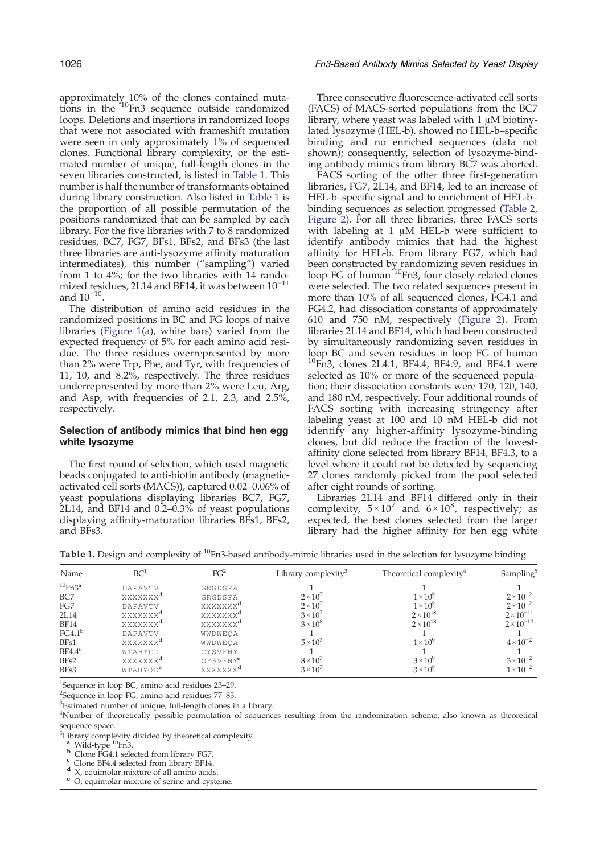<span id="page-2-0"></span>approximately 10% of the clones contained mutations in the  $10Fn3$  sequence outside randomized loops. Deletions and insertions in randomized loops that were not associated with frameshift mutation were seen in only approximately 1% of sequenced clones. Functional library complexity, or the estimated number of unique, full-length clones in the seven libraries constructed, is listed in Table 1. This number is half the number of transformants obtained during library construction. Also listed in Table 1 is the proportion of all possible permutation of the positions randomized that can be sampled by each library. For the five libraries with  $7$  to  $8$  randomized residues, BC7, FG7, BFs1, BFs2, and BFs3 (the last three libraries are anti-lysozyme affinity maturation intermediates), this number ("sampling") varied from 1 to 4%; for the two libraries with 14 randomized residues, 2L14 and BF14, it was between  $10^{-11}$ and  $10^{-10}$ .

The distribution of amino acid residues in the randomized positions in BC and FG loops of naive libraries [\(Figure 1\(](#page-3-0)a), white bars) varied from the expected frequency of 5% for each amino acid residue. The three residues overrepresented by more than 2% were Trp, Phe, and Tyr, with frequencies of 11, 10, and 8.2%, respectively. The three residues underrepresented by more than 2% were Leu, Arg, and Asp, with frequencies of 2.1, 2.3, and 2.5%, respectively.

# Selection of antibody mimics that bind hen egg white lysozyme

The first round of selection, which used magnetic beads conjugated to anti-biotin antibody (magneticactivated cell sorts (MACS)), captured 0.02–0.06% of yeast populations displaying libraries BC7, FG7, 2L14, and BF14 and 0.2–0.3% of yeast populations displaying affinity-maturation libraries BFs1, BFs2, and BFs3.

Three consecutive fluorescence-activated cell sorts (FACS) of MACS-sorted populations from the BC7 library, where yeast was labeled with 1 μM biotinylated lysozyme (HEL-b), showed no HEL-b–specific binding and no enriched sequences (data not shown); consequently, selection of lysozyme-binding antibody mimics from library BC7 was aborted.

FACS sorting of the other three first-generation libraries, FG7, 2L14, and BF14, led to an increase of HEL-b–specific signal and to enrichment of HEL-b– binding sequences as selection progressed ([Table 2,](#page-4-0) [Figure 2](#page-5-0)). For all three libraries, three FACS sorts with labeling at 1 μM HEL-b were sufficient to identify antibody mimics that had the highest affinity for HEL-b. From library FG7, which had been constructed by randomizing seven residues in loop FG of human  $10Fn3$ , four closely related clones were selected. The two related sequences present in more than 10% of all sequenced clones, FG4.1 and FG4.2, had dissociation constants of approximately 610 and 750 nM, respectively ([Figure 2\)](#page-5-0). From libraries 2L14 and BF14, which had been constructed by simultaneously randomizing seven residues in loop BC and seven residues in loop FG of human  $^{10}$ Fn3, clones 2L4.1, BF4.4, BF4.9, and BF4.1 were selected as 10% or more of the sequenced population; their dissociation constants were 170, 120, 140, and 180 nM, respectively. Four additional rounds of FACS sorting with increasing stringency after labeling yeast at 100 and 10 nM HEL-b did not identify any higher-affinity lysozyme-binding clones, but did reduce the fraction of the lowestaffinity clone selected from library BF14, BF4.3, to a level where it could not be detected by sequencing 27 clones randomly picked from the pool selected after eight rounds of sorting.

Libraries 2L14 and BF14 differed only in their complexity,  $5 \times 10^7$  and  $6 \times 10^8$ , respectively; as expected, the best clones selected from the larger library had the higher affinity for hen egg white

Table 1. Design and complexity of <sup>10</sup>Fn3-based antibody-mimic libraries used in the selection for lysozyme binding

| Name                     | BC <sup>1</sup>      | FG <sup>2</sup>      | Library complexity <sup>3</sup> | Theoretical complexity <sup>4</sup> | Sampling <sup>5</sup> |
|--------------------------|----------------------|----------------------|---------------------------------|-------------------------------------|-----------------------|
| $^{10}$ Fn3 <sup>a</sup> | DAPAVTV              | GRGDSPA              |                                 |                                     |                       |
| BC7                      | xxxxxxx <sup>a</sup> | GRGDSPA              | $2 \times 10^7$                 | $1 \times 10^9$                     | $2 \times 10^{-2}$    |
| FG7                      | DAPAVTV              | XXXXXXX <sup>a</sup> | $2 \times 10^7$                 | $1 \times 10^9$                     | $2 \times 10^{-2}$    |
| 2L14                     | xxxxxxx <sup>a</sup> | xxxxxxx <sup>a</sup> | $3 \times 10^{7}$               | $2 \times 10^{18}$                  | $2 \times 10^{-11}$   |
| <b>BF14</b>              | xxxxxxx <sup>a</sup> | xxxxxxx <sup>a</sup> | $3 \times 10^8$                 | $2 \times 10^{18}$                  | $2 \times 10^{-10}$   |
| FG4.1 <sup>b</sup>       | DAPAVTV              | WWDWEOA              |                                 |                                     |                       |
| BF <sub>s1</sub>         | XXXXXXX <sup>a</sup> | WWDWEOA              | $5 \times 10^7$                 | $1 \times 10^9$                     | $4 \times 10^{-2}$    |
| BF4.4 <sup>c</sup>       | WTAHYCD              | CYSVFNY              |                                 |                                     |                       |
| BF <sub>s2</sub>         | XXXXXXX <sup>a</sup> | OYSVFNY <sup>e</sup> | $8 \times 10^{7}$               | $3 \times 10^9$                     | $3 \times 10^{-2}$    |
| BFs3                     | WTAHYOD <sup>e</sup> | XXXXXXX <sup>a</sup> | $3 \times 10^{7}$               | $3 \times 10^9$                     | $1 \times 10^{-2}$    |

<sup>1</sup>Sequence in loop BC, amino acid residues 23–29.<br><sup>2</sup>Sequence in loop EC, amino acid residues 77–83.

 $2$ Sequence in loop FG, amino acid residues 77–83.

<sup>3</sup>Estimated number of unique, full-length clones in a library.

4 Number of theoretically possible permutation of sequences resulting from the randomization scheme, also known as theoretical sequence space.

<sup>5</sup>Library complexity divided by theoretical complexity.

**b** Clone FG4.1 selected from library FG7.<br> **c** Clone BF4.4 selected from library BF14.<br> **d** X, equimolar mixture of all amino acids.<br> **e** O, equimolar mixture of serine and cysteine.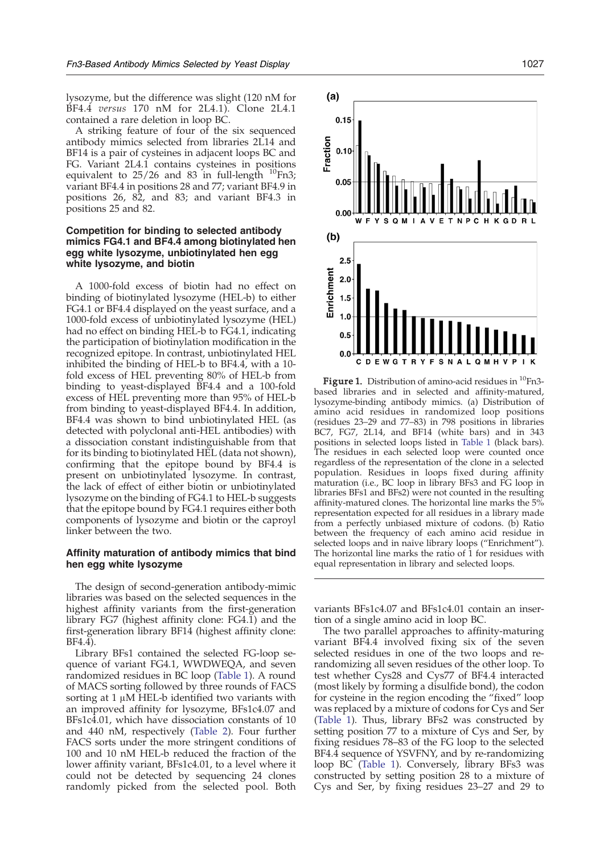<span id="page-3-0"></span>lysozyme, but the difference was slight (120 nM for BF4.4 versus 170 nM for 2L4.1). Clone 2L4.1 contained a rare deletion in loop BC.

A striking feature of four of the six sequenced antibody mimics selected from libraries 2L14 and BF14 is a pair of cysteines in adjacent loops BC and FG. Variant 2L4.1 contains cysteines in positions equivalent to  $25/26$  and  $83$  in full-length  $^{10}$ Fn3; variant BF4.4 in positions 28 and 77; variant BF4.9 in positions 26, 82, and 83; and variant BF4.3 in positions 25 and 82.

## Competition for binding to selected antibody mimics FG4.1 and BF4.4 among biotinylated hen egg white lysozyme, unbiotinylated hen egg white lysozyme, and biotin

A 1000-fold excess of biotin had no effect on binding of biotinylated lysozyme (HEL-b) to either FG4.1 or BF4.4 displayed on the yeast surface, and a 1000-fold excess of unbiotinylated lysozyme (HEL) had no effect on binding HEL-b to FG4.1, indicating the participation of biotinylation modification in the recognized epitope. In contrast, unbiotinylated HEL inhibited the binding of HEL-b to BF4.4, with a 10 fold excess of HEL preventing 80% of HEL-b from binding to yeast-displayed BF4.4 and a 100-fold excess of HEL preventing more than 95% of HEL-b from binding to yeast-displayed BF4.4. In addition, BF4.4 was shown to bind unbiotinylated HEL (as detected with polyclonal anti-HEL antibodies) with a dissociation constant indistinguishable from that for its binding to biotinylated HEL (data not shown), confirming that the epitope bound by BF4.4 is present on unbiotinylated lysozyme. In contrast, the lack of effect of either biotin or unbiotinylated lysozyme on the binding of FG4.1 to HEL-b suggests that the epitope bound by FG4.1 requires either both components of lysozyme and biotin or the caproyl linker between the two.

## Affinity maturation of antibody mimics that bind hen egg white lysozyme

The design of second-generation antibody-mimic libraries was based on the selected sequences in the highest affinity variants from the first-generation library FG7 (highest affinity clone: FG4.1) and the first-generation library BF14 (highest affinity clone: BF4.4).

Library BFs1 contained the selected FG-loop sequence of variant FG4.1, WWDWEQA, and seven randomized residues in BC loop [\(Table 1](#page-2-0)). A round of MACS sorting followed by three rounds of FACS sorting at 1 μM HEL-b identified two variants with an improved affinity for lysozyme, BFs1c4.07 and BFs1c4.01, which have dissociation constants of 10 and 440 nM, respectively ([Table 2\)](#page-4-0). Four further FACS sorts under the more stringent conditions of 100 and 10 nM HEL-b reduced the fraction of the lower affinity variant, BFs1c4.01, to a level where it could not be detected by sequencing 24 clones randomly picked from the selected pool. Both



**Figure 1.** Distribution of amino-acid residues in  ${}^{10}$ Fn3based libraries and in selected and affinity-matured, lysozyme-binding antibody mimics. (a) Distribution of amino acid residues in randomized loop positions (residues 23–29 and 77–83) in 798 positions in libraries BC7, FG7, 2L14, and BF14 (white bars) and in 343 positions in selected loops listed in [Table 1](#page-2-0) (black bars). The residues in each selected loop were counted once regardless of the representation of the clone in a selected population. Residues in loops fixed during affinity maturation (i.e., BC loop in library BFs3 and FG loop in libraries BFs1 and BFs2) were not counted in the resulting affinity-matured clones. The horizontal line marks the 5% representation expected for all residues in a library made from a perfectly unbiased mixture of codons. (b) Ratio between the frequency of each amino acid residue in selected loops and in naive library loops ("Enrichment"). The horizontal line marks the ratio of 1 for residues with equal representation in library and selected loops.

variants BFs1c4.07 and BFs1c4.01 contain an insertion of a single amino acid in loop BC.

The two parallel approaches to affinity-maturing variant BF4.4 involved fixing six of the seven selected residues in one of the two loops and rerandomizing all seven residues of the other loop. To test whether Cys28 and Cys77 of BF4.4 interacted (most likely by forming a disulfide bond), the codon for cysteine in the region encoding the "fixed" loop was replaced by a mixture of codons for Cys and Ser ([Table 1](#page-2-0)). Thus, library BFs2 was constructed by setting position 77 to a mixture of Cys and Ser, by fixing residues 78–83 of the FG loop to the selected BF4.4 sequence of YSVFNY, and by re-randomizing loop BC [\(Table 1](#page-2-0)). Conversely, library BFs3 was constructed by setting position 28 to a mixture of Cys and Ser, by fixing residues 23–27 and 29 to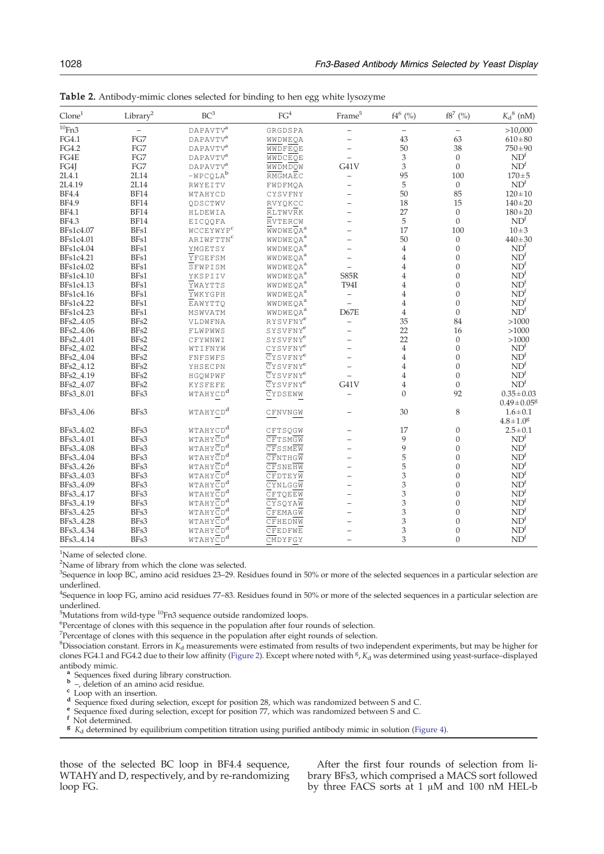| $C$ lone $1$         | Library <sup>2</sup> | BC <sup>3</sup>       | FG <sup>4</sup>                     | $\mathrm{Frame}^5$       | $f4^6$ (%)                | $\mathrm{f8}^{7}$ (%) | $K_d{}^8$ (nM)               |
|----------------------|----------------------|-----------------------|-------------------------------------|--------------------------|---------------------------|-----------------------|------------------------------|
| $\frac{10}{10}$ Fn3  |                      | DAPAVTV <sup>a</sup>  | GRGDSPA                             | $\qquad \qquad -$        |                           |                       | >10,000                      |
| FG4.1                | FG7                  | $\texttt{DAPAVTV}^a$  | WWDWEQA                             |                          | 43                        | 63                    | $610\pm80$                   |
| FG4.2                | FG7                  | DAPAVTV <sup>a</sup>  | WWDFEQE                             | $\qquad \qquad -$        | 50                        | 38                    | $750 \pm 90$                 |
| FG4E                 | FG7                  | $DAPAVTV^a$           | WWDCEQE                             |                          | $\ensuremath{\mathsf{3}}$ | $\mathbf{0}$          | ND <sup>f</sup>              |
| FG4J                 | FG7                  | DAPAVTV <sup>a</sup>  | WWDMDQW                             | G41V                     | 3                         | $\boldsymbol{0}$      | ND <sup>f</sup>              |
| 2L4.1                | 2L14                 | $-WPCQLAb$            | RMGMAEC                             | $\overline{\phantom{0}}$ | 95                        | 100                   | $170 + 5$                    |
| 2L4.19               | 2L14                 | RWYEITV               | FWDFMQA                             | $\qquad \qquad -$        | 5                         | $\boldsymbol{0}$      | ND <sup>f</sup>              |
| <b>BF4.4</b>         | <b>BF14</b>          | WTAHYCD               | CYSVFNY                             |                          | 50                        | 85                    | $120 \pm 10$                 |
| <b>BF4.9</b>         | <b>BF14</b>          | QDSCTWV               | RVYQKCC                             |                          | 18                        | 15                    | $140 \pm 20$                 |
| <b>BF4.1</b>         | <b>BF14</b>          | HLDEWIA               | <b>RLTWVRK</b>                      |                          | 27                        | $\boldsymbol{0}$      | $180 + 20$                   |
| <b>BF4.3</b>         | <b>BF14</b>          | EICQQFA               | RVTERCW                             |                          | 5                         | $\mathbf{0}$          | ND <sup>f</sup>              |
| BFs1c4.07            | BFs1                 | WCCEYWYP <sup>c</sup> | $\overline{W}WDWE\overline{Q}A^{a}$ |                          | 17                        | 100                   | $10 + 3$                     |
| BFs1c4.01            | BFs1                 | ARIWFTTNC             | WWDWEQA <sup>a</sup>                |                          | 50                        | $\boldsymbol{0}$      | $440 \pm 30$                 |
| BFs1c4.04            | BFs1                 | YMGETSY               | WWDWEQA <sup>a</sup>                |                          | $\overline{4}$            | $\mathbf{0}$          | ND <sup>f</sup>              |
| BFs1c4.21            | BFs1                 | YFGEFSM               | WWDWEQA <sup>a</sup>                |                          | $\overline{4}$            | $\mathbf{0}$          | ND <sup>f</sup>              |
| BFs1c4.02            | BFs1                 | SFWPISM               | WWDWEQA <sup>a</sup>                |                          | $\overline{4}$            | $\mathbf{0}$          | ND <sup>f</sup>              |
| BFs1c4.10            | BFs1                 | YKSPIIV               | WWDWEQA <sup>a</sup>                | S85R                     | 4                         | $\boldsymbol{0}$      | ND <sup>f</sup>              |
| BFs1c4.13            | BFs1                 | YWAYTTS               | WWDWEQA <sup>a</sup>                | <b>T94I</b>              | 4                         | $\theta$              | ND <sup>f</sup>              |
| BFs1c4.16            | BFs1                 | YWKYGPH               | WWDWEQA <sup>a</sup>                | $\overline{\phantom{0}}$ | $\overline{4}$            | $\mathbf{0}$          | ND <sup>f</sup>              |
| BFs1c4.22            | BFs1                 | EAWYTTQ               | WWDWEQA <sup>a</sup>                | $\overline{a}$           | $\overline{4}$            | $\mathbf{0}$          | ND <sup>f</sup>              |
| BFs1c4.23            | BFs1                 | MSWVATM               | WWDWEQA <sup>a</sup>                | D67E                     | $\overline{4}$            | $\boldsymbol{0}$      | ND <sup>f</sup>              |
| BFs2_4.05            | BFs2                 | VLDWFNA               | RYSVFNY <sup>e</sup>                | $\overline{\phantom{0}}$ | 35                        | 84                    | >1000                        |
| BFs2_4.06            | BFs2                 | FLWPWWS               | SYSVFNY <sup>e</sup>                |                          | 22                        | 16                    | >1000                        |
| BFs2_4.01            | BFs2                 | CFYWNWI               | SYSVFNY <sup>e</sup>                |                          | 22                        | $\boldsymbol{0}$      | >1000                        |
| BFs2_4.02            | BFs2                 | WTIFNYW               | CYSVFNY <sup>e</sup>                |                          | $\overline{4}$            | $\boldsymbol{0}$      | ND <sup>f</sup>              |
| BFs2_4.04            | BFs2                 | FNFSWFS               | $CY$ SVFN $Y^e$                     |                          | $\overline{4}$            | $\mathbf{0}$          | ND <sup>f</sup>              |
| BFs2_4.12            | BFs2                 | YHSECPN               | CYSVFNY <sup>e</sup>                |                          | $\overline{4}$            | $\theta$              | ND <sup>f</sup>              |
| BFs2_4.19            | BFs2                 | HGQWPWF               | $CY$ SVFN $Y^e$                     |                          | $\overline{4}$            | $\mathbf{0}$          | ND <sup>f</sup>              |
| BFs2_4.07            | BFs2                 | <b>KYSFEFE</b>        | CYSVFNY <sup>e</sup>                | G41V                     | 4                         | $\boldsymbol{0}$      | ND <sup>f</sup>              |
| BFs3_8.01            | BFs3                 | WTAHYCD <sup>d</sup>  | CYDSEWW                             | $\qquad \qquad -$        | $\Omega$                  | 92                    | $0.35 \pm 0.03$              |
|                      |                      |                       |                                     |                          |                           |                       | $0.49 \pm 0.05$ <sup>g</sup> |
| BFs3_4.06            | BFs3                 | WTAHYCD <sup>d</sup>  | CFNVNGW                             |                          | 30                        | 8                     | $1.6 \pm 0.1$                |
|                      |                      |                       |                                     |                          |                           |                       | $4.8 \pm 1.0^8$              |
| BFs3_4.02            | BFs3                 | WTAHYCD <sup>d</sup>  | CFTSQGW                             |                          | 17                        | $\boldsymbol{0}$      | $2.5 \pm 0.1$                |
| BFs3_4.01            | BFs3                 | WTAHYCD <sup>d</sup>  | CFTSMGW                             |                          | 9                         | $\mathbf{0}$          | ND <sup>f</sup>              |
| BFs3 <sub>4.08</sub> | BFs3                 | WTAHYCD <sup>d</sup>  | CFSSMEW                             |                          | 9                         | $\mathbf{0}$          | ND <sup>f</sup>              |
| BFs3_4.04            | BFs3                 | WTAHYCD <sup>d</sup>  | CFNTHGW                             |                          | 5                         | $\mathbf{0}$          | ND <sup>f</sup>              |
| BFs3_4.26            | BFs3                 | WTAHYCD <sup>d</sup>  | CFSNEHW                             |                          | 5                         | $\mathbf{0}$          | ND <sup>f</sup>              |
| BFs3_4.03            | BFs3                 | WTAHYCD <sup>d</sup>  | CFDTEYW                             |                          | 3                         | $\boldsymbol{0}$      | ND <sup>f</sup>              |
| BFs3_4.09            | BFs3                 | WTAHYCD <sup>d</sup>  | CYNLGGW                             | $\equiv$                 | 3                         | $\theta$              | ND <sup>f</sup>              |
| BFs3_4.17            | BFs3                 | WTAHYCD <sup>d</sup>  | CFTQEEW                             |                          | 3                         | $\boldsymbol{0}$      | ND <sup>f</sup>              |
| BFs3_4.19            | BFs3                 | WTAHYCD <sup>d</sup>  | CYSQYAW                             |                          | 3                         | $\boldsymbol{0}$      | ND <sup>f</sup>              |
| BFs3_4.25            | BFs3                 | WTAHYCD <sup>d</sup>  | CFEMAGW                             | $\equiv$                 | 3                         | $\boldsymbol{0}$      | ND <sup>f</sup>              |
| BFs3_4.28            | BFs3                 | WTAHYCD <sup>d</sup>  | CFHEDNW                             |                          | 3                         | $\mathbf{0}$          | ND <sup>f</sup>              |
| BFs3_4.34            | BFs3                 | WTAHYCD <sup>d</sup>  | CFEDFWE                             | $\overline{\phantom{0}}$ | 3                         | $\mathbf{0}$          | ND <sup>f</sup>              |
| BFs3_4.14            | BFs3                 | WTAHYCD <sup>d</sup>  | CMDYFGY                             | L.                       | 3                         | $\overline{0}$        | ND <sup>f</sup>              |

<span id="page-4-0"></span>Table 2. Antibody-mimic clones selected for binding to hen egg white lysozyme

<sup>1</sup>Name of selected clone.

<sup>2</sup>Name of library from which the clone was selected.

<sup>3</sup>Sequence in loop BC, amino acid residues 23–29. Residues found in 50% or more of the selected sequences in a particular selection are underlined.

4 Sequence in loop FG, amino acid residues 77–83. Residues found in 50% or more of the selected sequences in a particular selection are underlined.

 $5$ Mutations from wild-type  $^{10}$ Fn3 sequence outside randomized loops.<br> $^{6}$ Percentage of clones with this sequence in the population after four r

<sup>6</sup>Percentage of clones with this sequence in the population after four rounds of selection.

<sup>7</sup>Percentage of clones with this sequence in the population after eight rounds of selection.

 ${}^8$ Dissociation constant. Errors in  $K_d$  measurements were estimated from results of two independent experiments, but may be higher for clones FG4.1 and FG4.2 due to their low affinity [\(Figure 2\).](#page-5-0) Except where noted with <sup>g</sup>, K<sub>d</sub> was determined using yeast-surface-displayed

antibody mimic.<br> **a** Sequences fixed during library construction.<br> **b** –, deletion of an amino acid residue.<br> **c** Loop with an insertion.<br> **c** Loop with an insertion.<br> **e** Sequence fixed during selection, except for posit

those of the selected BC loop in BF4.4 sequence, WTAHY and D, respectively, and by re-randomizing loop FG.

After the first four rounds of selection from library BFs3, which comprised a MACS sort followed by three FACS sorts at 1 μM and 100 nM HEL-b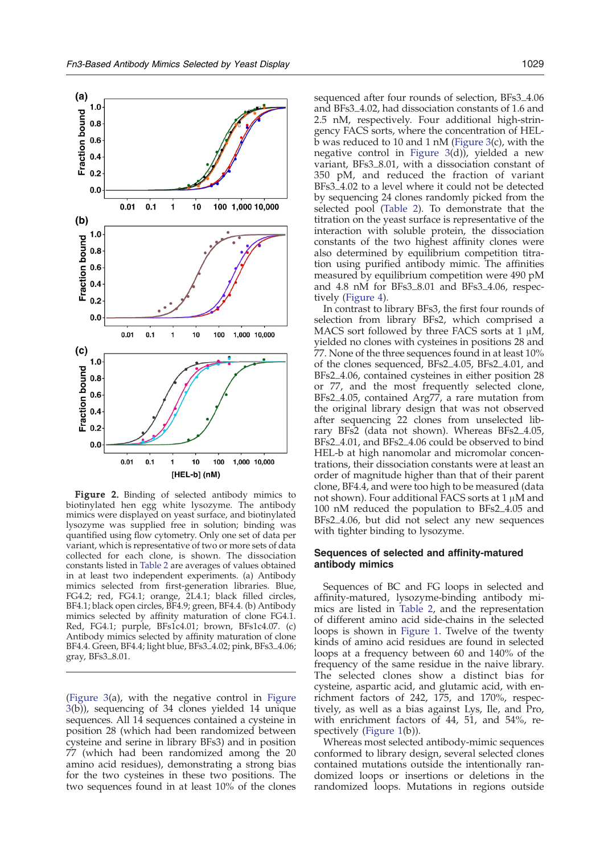<span id="page-5-0"></span>

Figure 2. Binding of selected antibody mimics to biotinylated hen egg white lysozyme. The antibody mimics were displayed on yeast surface, and biotinylated lysozyme was supplied free in solution; binding was quantified using flow cytometry. Only one set of data per variant, which is representative of two or more sets of data collected for each clone, is shown. The dissociation constants listed in [Table 2](#page-4-0) are averages of values obtained in at least two independent experiments. (a) Antibody mimics selected from first-generation libraries. Blue, FG4.2; red, FG4.1; orange, 2L4.1; black filled circles, BF4.1; black open circles, BF4.9; green, BF4.4. (b) Antibody mimics selected by affinity maturation of clone FG4.1. Red, FG4.1; purple, BFs1c4.01; brown, BFs1c4.07. (c) Antibody mimics selected by affinity maturation of clone BF4.4. Green, BF4.4; light blue, BFs3\_4.02; pink, BFs3\_4.06; gray, BFs3\_8.01.

[\(Figure 3](#page-6-0)(a), with the negative control in [Figure](#page-6-0) [3](#page-6-0)(b)), sequencing of 34 clones yielded 14 unique sequences. All 14 sequences contained a cysteine in position 28 (which had been randomized between cysteine and serine in library BFs3) and in position 77 (which had been randomized among the 20 amino acid residues), demonstrating a strong bias for the two cysteines in these two positions. The two sequences found in at least 10% of the clones sequenced after four rounds of selection, BFs3\_4.06 and BFs3\_4.02, had dissociation constants of 1.6 and 2.5 nM, respectively. Four additional high-stringency FACS sorts, where the concentration of HELb was reduced to 10 and 1 nM [\(Figure 3](#page-6-0)(c), with the negative control in [Figure 3\(](#page-6-0)d)), yielded a new variant, BFs3\_8.01, with a dissociation constant of 350 pM, and reduced the fraction of variant BFs3\_4.02 to a level where it could not be detected by sequencing 24 clones randomly picked from the selected pool [\(Table 2](#page-4-0)). To demonstrate that the titration on the yeast surface is representative of the interaction with soluble protein, the dissociation constants of the two highest affinity clones were also determined by equilibrium competition titration using purified antibody mimic. The affinities measured by equilibrium competition were 490 pM and 4.8 nM for BFs3\_8.01 and BFs3\_4.06, respectively ([Figure 4\)](#page-6-0).

In contrast to library BFs3, the first four rounds of selection from library BFs2, which comprised a MACS sort followed by three FACS sorts at 1  $\mu$ M, yielded no clones with cysteines in positions 28 and 77. None of the three sequences found in at least 10% of the clones sequenced, BFs2\_4.05, BFs2\_4.01, and BFs2\_4.06, contained cysteines in either position 28 or 77, and the most frequently selected clone, BFs2\_4.05, contained Arg77, a rare mutation from the original library design that was not observed after sequencing 22 clones from unselected library BFs2 (data not shown). Whereas BFs2\_4.05, BFs2\_4.01, and BFs2\_4.06 could be observed to bind HEL-b at high nanomolar and micromolar concentrations, their dissociation constants were at least an order of magnitude higher than that of their parent clone, BF4.4, and were too high to be measured (data not shown). Four additional FACS sorts at 1 μM and 100 nM reduced the population to BFs2\_4.05 and BFs2\_4.06, but did not select any new sequences with tighter binding to lysozyme.

## Sequences of selected and affinity-matured antibody mimics

Sequences of BC and FG loops in selected and affinity-matured, lysozyme-binding antibody mimics are listed in [Table 2,](#page-4-0) and the representation of different amino acid side-chains in the selected loops is shown in [Figure 1.](#page-3-0) Twelve of the twenty kinds of amino acid residues are found in selected loops at a frequency between 60 and 140% of the frequency of the same residue in the naive library. The selected clones show a distinct bias for cysteine, aspartic acid, and glutamic acid, with enrichment factors of 242, 175, and 170%, respectively, as well as a bias against Lys, Ile, and Pro, with enrichment factors of 44, 51, and 54%, re-spectively [\(Figure 1](#page-3-0)(b)).

Whereas most selected antibody-mimic sequences conformed to library design, several selected clones contained mutations outside the intentionally randomized loops or insertions or deletions in the randomized loops. Mutations in regions outside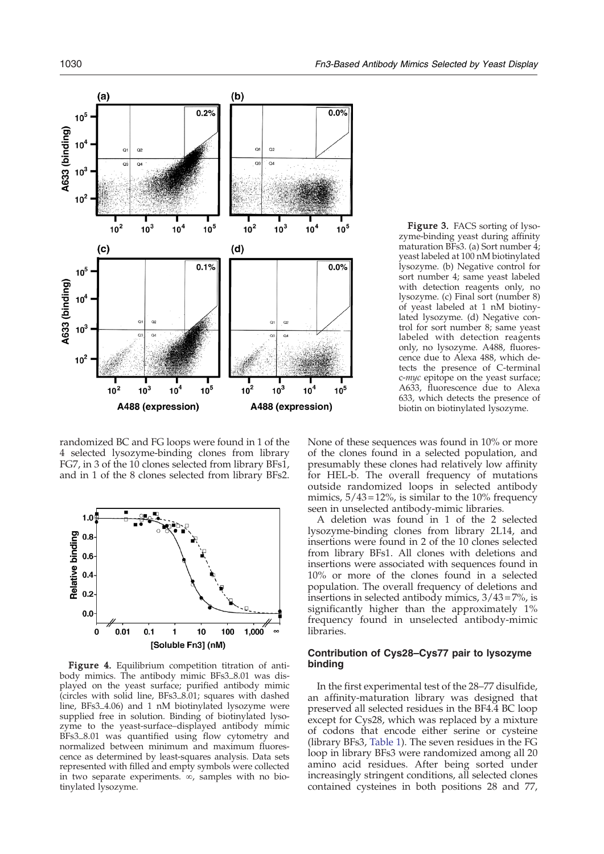<span id="page-6-0"></span>

randomized BC and FG loops were found in 1 of the 4 selected lysozyme-binding clones from library FG7, in 3 of the 10 clones selected from library BFs1, and in 1 of the 8 clones selected from library BFs2.



Figure 4. Equilibrium competition titration of antibody mimics. The antibody mimic BFs3\_8.01 was displayed on the yeast surface; purified antibody mimic (circles with solid line, BFs3\_8.01; squares with dashed line, BFs3\_4.06) and 1 nM biotinylated lysozyme were supplied free in solution. Binding of biotinylated lysozyme to the yeast-surface–displayed antibody mimic BFs3\_8.01 was quantified using flow cytometry and normalized between minimum and maximum fluorescence as determined by least-squares analysis. Data sets represented with filled and empty symbols were collected in two separate experiments. ∞, samples with no biotinylated lysozyme.

Figure 3. FACS sorting of lysozyme-binding yeast during affinity maturation BFs3. (a) Sort number 4; yeast labeled at 100 nM biotinylated lysozyme. (b) Negative control for sort number 4; same yeast labeled with detection reagents only, no lysozyme. (c) Final sort (number 8) of yeast labeled at 1 nM biotinylated lysozyme. (d) Negative control for sort number 8; same yeast labeled with detection reagents only, no lysozyme. A488, fluorescence due to Alexa 488, which detects the presence of C-terminal c-myc epitope on the yeast surface; A633, fluorescence due to Alexa 633, which detects the presence of biotin on biotinylated lysozyme.

None of these sequences was found in 10% or more of the clones found in a selected population, and presumably these clones had relatively low affinity for HEL-b. The overall frequency of mutations outside randomized loops in selected antibody mimics,  $5/43 = 12\%$ , is similar to the 10% frequency seen in unselected antibody-mimic libraries.

A deletion was found in 1 of the 2 selected lysozyme-binding clones from library 2L14, and insertions were found in 2 of the 10 clones selected from library BFs1. All clones with deletions and insertions were associated with sequences found in 10% or more of the clones found in a selected population. The overall frequency of deletions and insertions in selected antibody mimics,  $3/43 = 7\%$ , is significantly higher than the approximately 1% frequency found in unselected antibody-mimic libraries.

# Contribution of Cys28–Cys77 pair to lysozyme binding

In the first experimental test of the 28–77 disulfide, an affinity-maturation library was designed that preserved all selected residues in the BF4.4 BC loop except for Cys28, which was replaced by a mixture of codons that encode either serine or cysteine (library BFs3, [Table 1\)](#page-2-0). The seven residues in the FG loop in library BFs3 were randomized among all 20 amino acid residues. After being sorted under increasingly stringent conditions, all selected clones contained cysteines in both positions 28 and 77,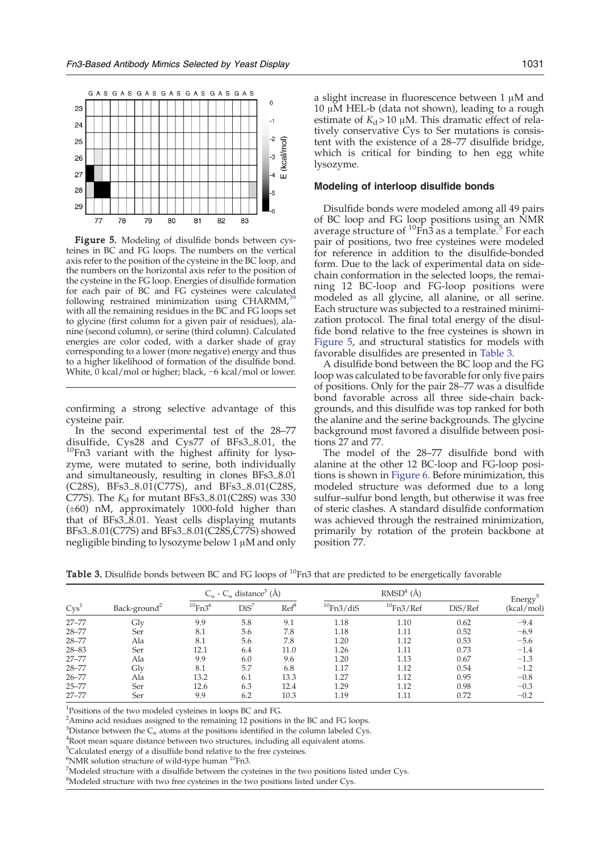

Figure 5. Modeling of disulfide bonds between cysteines in BC and FG loops. The numbers on the vertical axis refer to the position of the cysteine in the BC loop, and the numbers on the horizontal axis refer to the position of the cysteine in the FG loop. Energies of disulfide formation for each pair of BC and FG cysteines were calculated following restrained minimization using  $CHARM<sub>2</sub>$ with all the remaining residues in the BC and FG loops set to glycine (first column for a given pair of residues), alanine (second column), or serine (third column). Calculated energies are color coded, with a darker shade of gray corresponding to a lower (more negative) energy and thus to a higher likelihood of formation of the disulfide bond. White, 0 kcal/mol or higher; black, −6 kcal/mol or lower.

confirming a strong selective advantage of this cysteine pair.

In the second experimental test of the 28–77 disulfide, Cys28 and Cys77 of BFs3\_8.01, the  $10$ Fn3 variant with the highest affinity for lysozyme, were mutated to serine, both individually and simultaneously, resulting in clones BFs3\_8.01 (C28S), BFs3\_8.01(C77S), and BFs3\_8.01(C28S, C77S). The  $K_d$  for mutant BFs3\_8.01(C28S) was 330  $(\pm 60)$  nM, approximately 1000-fold higher than that of BFs3\_8.01. Yeast cells displaying mutants BFs3\_8.01(C77S) and BFs3\_8.01(C28S,C77S) showed negligible binding to lysozyme below 1 μM and only

a slight increase in fluorescence between 1 μM and 10 μM HEL-b (data not shown), leading to a rough estimate of  $K_d > 10 \mu M$ . This dramatic effect of relatively conservative Cys to Ser mutations is consistent with the existence of a 28–77 disulfide bridge, which is critical for binding to hen egg white lysozyme.

## Modeling of interloop disulfide bonds

Disulfide bonds were modeled among all 49 pairs of BC loop and FG loop positions using an NMR average structure of  ${}^{10}$ Fn3 as a template.<sup>[5](#page-16-0)</sup> For each pair of positions, two free cysteines were modeled for reference in addition to the disulfide-bonded form. Due to the lack of experimental data on sidechain conformation in the selected loops, the remaining 12 BC-loop and FG-loop positions were modeled as all glycine, all alanine, or all serine. Each structure was subjected to a restrained minimization protocol. The final total energy of the disulfide bond relative to the free cysteines is shown in Figure 5, and structural statistics for models with favorable disulfides are presented in Table 3.

A disulfide bond between the BC loop and the FG loop was calculated to be favorable for only five pairs of positions. Only for the pair 28–77 was a disulfide bond favorable across all three side-chain backgrounds, and this disulfide was top ranked for both the alanine and the serine backgrounds. The glycine background most favored a disulfide between positions 27 and 77.

The model of the 28–77 disulfide bond with alanine at the other 12 BC-loop and FG-loop positions is shown in [Figure 6.](#page-8-0) Before minimization, this modeled structure was deformed due to a long sulfur–sulfur bond length, but otherwise it was free of steric clashes. A standard disulfide conformation was achieved through the restrained minimization, primarily by rotation of the protein backbone at position 77.

| Cys <sup>1</sup> | Back-ground <sup>2</sup> | $C_{\alpha}$ - $C_{\alpha}$ distance <sup>3</sup> (Å) |      |      | $RMSD4$ (Å)  |                 |         |                      |
|------------------|--------------------------|-------------------------------------------------------|------|------|--------------|-----------------|---------|----------------------|
|                  |                          | $^{10}$ Fn3 <sup>6</sup>                              | Dis' | Ref  | $10$ Fn3/diS | $^{10}$ Fn3/Ref | DiS/Ref | Energy<br>(kcal/mol) |
| $27 - 77$        | $\mathrm{Glv}$           | 9.9                                                   | 5.8  | 9.1  | 1.18         | 1.10            | 0.62    | $-9.4$               |
| $28 - 77$        | Ser                      | 8.1                                                   | 5.6  | 7.8  | 1.18         | 1.11            | 0.52    | $-6.9$               |
| $28 - 77$        | Ala                      | 8.1                                                   | 5.6  | 7.8  | 1.20         | 1.12            | 0.53    | $-5.6$               |
| $28 - 83$        | Ser                      | 12.1                                                  | 6.4  | 11.0 | 1.26         | 1.11            | 0.73    | $-1.4$               |
| $27 - 77$        | Ala                      | 9.9                                                   | 6.0  | 9.6  | 1.20         | 1.13            | 0.67    | $-1.3$               |
| $28 - 77$        | Gly                      | 8.1                                                   | 5.7  | 6.8  | 1.17         | 1.12            | 0.54    | $-1.2$               |
| $26 - 77$        | Ala                      | 13.2                                                  | 6.1  | 13.3 | 1.27         | 1.12            | 0.95    | $-0.8$               |
| $25 - 77$        | Ser                      | 12.6                                                  | 6.3  | 12.4 | 1.29         | 1.12            | 0.98    | $-0.3$               |
| $27 - 77$        | Ser                      | 9.9                                                   | 6.2  | 10.3 | 1.19         | 1.11            | 0.72    | $-0.2$               |

**Table 3.** Disulfide bonds between BC and FG loops of  $^{10}$ Fn3 that are predicted to be energetically favorable

<sup>1</sup>Positions of the two modeled cysteines in loops BC and FG.

<sup>2</sup> Amino acid residues assigned to the remaining 12 positions in the BC and FG loops.

<sup>3</sup>Distance between the  $C_{\alpha}$  atoms at the positions identified in the column labeled Cys.<br><sup>4</sup>Root mean square distance between two structures, including all equivalent atoms

<sup>4</sup>Root mean square distance between two structures, including all equivalent atoms.

<sup>5</sup>Calculated energy of a disulfide bond relative to the free cysteines.

 $^{6}$ NMR solution structure of wild-type human  $^{10}$ Fn3.<br><sup>7</sup>Modeled structure with a disulfide between the eva

 $<sup>7</sup>$ Modeled structure with a disulfide between the cysteines in the two positions listed under Cys.</sup>

<sup>8</sup>Modeled structure with two free cysteines in the two positions listed under Cys.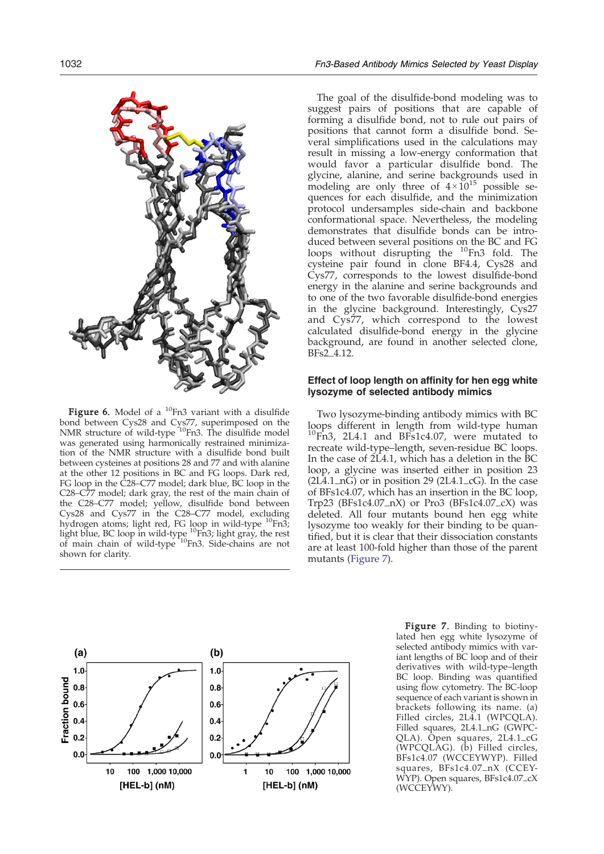<span id="page-8-0"></span>

**Figure 6.** Model of a  $^{10}$ Fn3 variant with a disulfide bond between Cys28 and Cys77, superimposed on the<br>NMR structure of wild-type <sup>10</sup>Fn3. The disulfide model was generated using harmonically restrained minimization of the NMR structure with a disulfide bond built between cysteines at positions 28 and 77 and with alanine at the other 12 positions in BC and FG loops. Dark red, FG loop in the C28–C77 model; dark blue, BC loop in the C28–C77 model; dark gray, the rest of the main chain of the C28–C77 model; yellow, disulfide bond between Cys28 and Cys77 in the C28–C77 model, excluding hydrogen atoms; light red, FG loop in wild-type <sup>10</sup>Fn3; light blue, BC loop in wild-type <sup>10</sup>Fn3; light gray, the rest of main chain of wild-type <sup>10</sup>Fn3. Side-chains are not shown for clarity.

The goal of the disulfide-bond modeling was to suggest pairs of positions that are capable of forming a disulfide bond, not to rule out pairs of positions that cannot form a disulfide bond. Several simplifications used in the calculations may result in missing a low-energy conformation that would favor a particular disulfide bond. The glycine, alanine, and serine backgrounds used in modeling are only three of  $4 \times 10^{15}$  possible sequences for each disulfide, and the minimization protocol undersamples side-chain and backbone conformational space. Nevertheless, the modeling demonstrates that disulfide bonds can be introduced between several positions on the BC and FG loops without disrupting the <sup>10</sup>Fn3 fold. The cysteine pair found in clone BF4.4, Cys28 and Cys77, corresponds to the lowest disulfide-bond energy in the alanine and serine backgrounds and to one of the two favorable disulfide-bond energies in the glycine background. Interestingly, Cys27 and Cys77, which correspond to the lowest calculated disulfide-bond energy in the glycine background, are found in another selected clone, BFs2\_4.12.

## Effect of loop length on affinity for hen egg white lysozyme of selected antibody mimics

Two lysozyme-binding antibody mimics with BC loops different in length from wild-type human  ${}^{10}$ Fn3, 2L4.1 and BFs1c4.07, were mutated to recreate wild-type–length, seven-residue BC loops. In the case of  $2\tilde{L}4.1$ , which has a deletion in the  $\tilde{B}C$ loop, a glycine was inserted either in position 23  $(2L<sub>4.1-nG</sub>)$  or in position 29  $(2L<sub>4.1-cG</sub>)$ . In the case of BFs1c4.07, which has an insertion in the BC loop, Trp23 (BFs1c4.07\_nX) or Pro3 (BFs1c4.07\_cX) was deleted. All four mutants bound hen egg white lysozyme too weakly for their binding to be quantified, but it is clear that their dissociation constants are at least 100-fold higher than those of the parent mutants (Figure 7).



Figure 7. Binding to biotinylated hen egg white lysozyme of selected antibody mimics with variant lengths of BC loop and of their derivatives with wild-type–length BC loop. Binding was quantified using flow cytometry. The BC-loop sequence of each variant is shown in brackets following its name. (a) Filled circles, 2L4.1 (WPCQLA). Filled squares, 2L4.1\_nG (GWPC-QLA). Open squares, 2L4.1\_cG (WPCQLAG). (b) Filled circles, BFs1c4.07 (WCCEYWYP). Filled squares, BFs1c4.07\_nX (CCEY-WYP). Open squares, BFs1c4.07\_cX (WCCEYWY).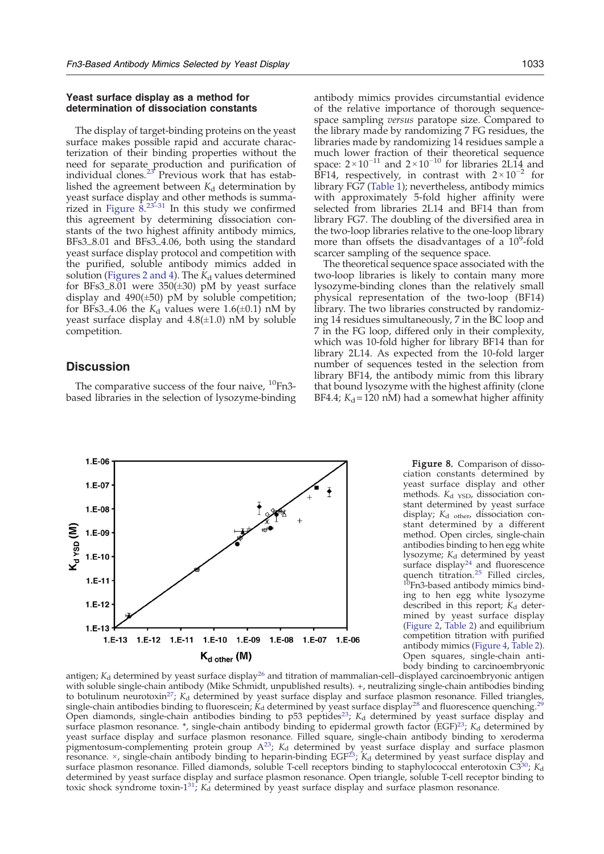## <span id="page-9-0"></span>Yeast surface display as a method for determination of dissociation constants

The display of target-binding proteins on the yeast surface makes possible rapid and accurate characterization of their binding properties without the need for separate production and purification of individual clones[.](#page-16-0)<sup>[23](#page-16-0)</sup> Previous work that has established the agreement between  $K_d$  determination by yeast surface display and other methods is summarized in Figure  $8^{23-31}$  $8^{23-31}$  $8^{23-31}$  In this study we confirmed this agreement by determining dissociation constants of the two highest affinity antibody mimics, BFs3\_8.01 and BFs3\_4.06, both using the standard yeast surface display protocol and competition with the purified, soluble antibody mimics added in solution ([Figures 2 and 4](#page-5-0)). The  $K_d$  values determined for BFs3 $\_\ 8.01$  were 350( $\pm$ 30) pM by yeast surface display and  $490(\pm 50)$  pM by soluble competition; for BFs3<sub>-4.06</sub> the  $K_d$  values were 1.6( $\pm$ 0.1) nM by yeast surface display and  $4.8(\pm 1.0)$  nM by soluble competition.

# **Discussion**

The comparative success of the four naive,  $^{10}$ Fn3based libraries in the selection of lysozyme-binding



antibody mimics provides circumstantial evidence of the relative importance of thorough sequencespace sampling versus paratope size. Compared to the library made by randomizing 7 FG residues, the libraries made by randomizing 14 residues sample a much lower fraction of their theoretical sequence space:  $2\times10^{-11}$  and  $2\times10^{-10}$  for libraries 2L14 and BF14, respectively, in contrast with  $2 \times 10^{-2}$  for library FG7 [\(Table 1](#page-2-0)); nevertheless, antibody mimics with approximately 5-fold higher affinity were selected from libraries 2L14 and BF14 than from library FG7. The doubling of the diversified area in the two-loop libraries relative to the one-loop library more than offsets the disadvantages of  $a^110^9$ -fold scarcer sampling of the sequence space.

The theoretical sequence space associated with the two-loop libraries is likely to contain many more lysozyme-binding clones than the relatively small physical representation of the two-loop (BF14) library. The two libraries constructed by randomizing 14 residues simultaneously, 7 in the BC loop and 7 in the FG loop, differed only in their complexity, which was 10-fold higher for library BF14 than for library 2L14. As expected from the 10-fold larger number of sequences tested in the selection from library BF14, the antibody mimic from this library that bound lysozyme with the highest affinity (clone BF4.4;  $K_d = 120$  nM) had a somewhat higher affinity

> Figure 8. Comparison of dissociation constants determined by yeast surface display and other methods. K<sub>d YSD</sub>, dissociation constant determined by yeast surface display; K<sub>d other</sub>, dissociation constant determined by a different method. Open circles, single-chain antibodies binding to hen egg white lysozyme;  $K_d$  determined by yeast surface display<sup>[24](#page-16-0)</sup> and fluorescence quench titration.<sup>[25](#page-16-0)</sup> Filled circles, <sup>10</sup>Fn3-based antibody mimics binding to hen egg white lysozyme described in this report;  $K_d$  determined by yeast surface display [\(Figure 2](#page-5-0), [Table 2\)](#page-4-0) and equilibrium competition titration with purified antibody mimics [\(Figure 4](#page-6-0), [Table 2\)](#page-4-0). Open squares, single-chain antibody binding to carcinoembryonic

antigen;  $K_d$  determined by yeast surface display<sup>[26](#page-16-0)</sup> and titration of mammalian-cell–displayed carcinoembryonic antigen with soluble single-chain antibody (Mike Schmidt, unpublished results). +, neutralizing single-chain antibodies binding to botulinum neurotoxin<sup>[27](#page-16-0)</sup>;  $K_d$  determined by yeast surface display and surface plasmon resonance. Filled triangles, single-chain antibodies binding to fluorescein;  $K_d$  determined by yeast surface display<sup>[28](#page-16-0)</sup> and fluorescence quenching.<sup>[29](#page-16-0)</sup> Open diamonds, single-chain antibodies binding to p53 peptides<sup>23</sup>;  $K_d$  determined by yeast surface display and surface plasmon resonance. \*, single-chain antibody binding to epidermal growth factor (EGF)<sup>[23](#page-16-0)</sup>; K<sub>d</sub> determined by yeast surface display and surface plasmon resonance. Filled square, single-chain antibody binding to xeroderma pigmentosum-complementing protein group  $A^{23}$ ;  $K_d$  determined by yeast surface display and surface plasmon resonance.  $\times$ , single-chain antibody binding to heparin-binding EGF<sup>[23](#page-16-0)</sup>; K<sub>d</sub> determined by yeast surface display and surface plasmon resonance. Filled diamonds, soluble T-cell receptors binding to staphylococcal enterotoxin  $C3^{30}$ ;  $K_d$ determined by yeast surface display and surface plasmon resonance. Open triangle, soluble T-cell receptor binding to toxic shock syndrome toxin-1 $31$ ;  $K_d$  determined by yeast surface display and surface plasmon resonance.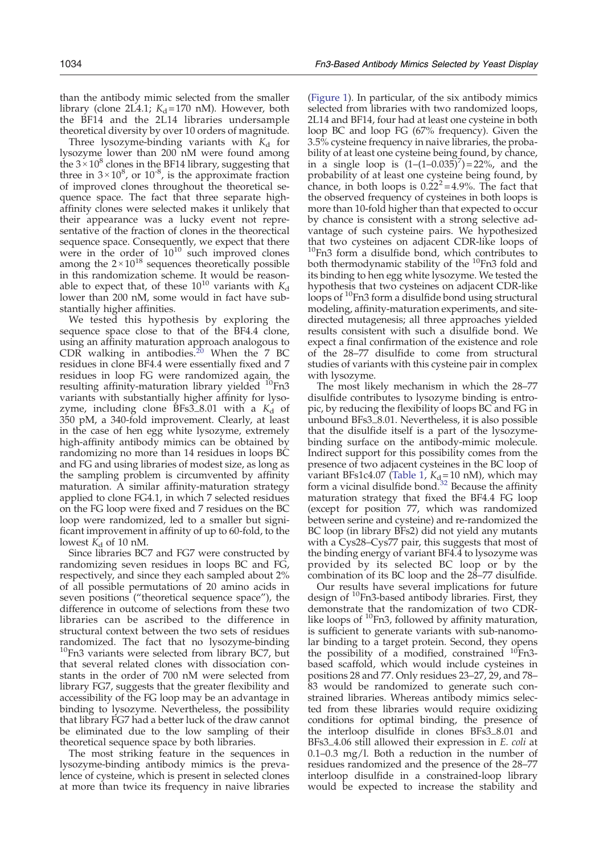than the antibody mimic selected from the smaller library (clone 2L4.1;  $K_d = 170$  nM). However, both the BF14 and the 2L14 libraries undersample theoretical diversity by over 10 orders of magnitude.

Three lysozyme-binding variants with  $K_d$  for lysozyme lower than 200 nM were found among the  $3 \times 10^8$  clones in the BF14 library, suggesting that three in  $3 \times 10^8$ , or  $10^{-8}$ , is the approximate fraction of improved clones throughout the theoretical sequence space. The fact that three separate highaffinity clones were selected makes it unlikely that their appearance was a lucky event not representative of the fraction of clones in the theorectical sequence space. Consequently, we expect that there were in the order of  $10^{10}$  such improved clones among the  $2 \times 10^{18}$  sequences theoretically possible in this randomization scheme. It would be reasonable to expect that, of these  $10^{10}$  variants with  $K_d$ lower than 200 nM, some would in fact have substantially higher affinities.

We tested this hypothesis by exploring the sequence space close to that of the BF4.4 clone, using an affinity maturation approach analogous to  $CDR$  walking in antibodies.<sup>[20](#page-16-0)</sup> When the 7 BC residues in clone BF4.4 were essentially fixed and 7 residues in loop FG were randomized again, the resulting affinity-maturation library yielded  $^{10}$ Fn3 variants with substantially higher affinity for lysozyme, including clone BFs3\_8.01 with a  $K_d$  of 350 pM, a 340-fold improvement. Clearly, at least in the case of hen egg white lysozyme, extremely high-affinity antibody mimics can be obtained by randomizing no more than 14 residues in loops BC and FG and using libraries of modest size, as long as the sampling problem is circumvented by affinity maturation. A similar affinity-maturation strategy applied to clone FG4.1, in which 7 selected residues on the FG loop were fixed and 7 residues on the BC loop were randomized, led to a smaller but significant improvement in affinity of up to 60-fold, to the lowest  $K_d$  of 10 nM.

Since libraries BC7 and FG7 were constructed by randomizing seven residues in loops BC and FG, respectively, and since they each sampled about 2% of all possible permutations of 20 amino acids in seven positions ("theoretical sequence space"), the difference in outcome of selections from these two libraries can be ascribed to the difference in structural context between the two sets of residues randomized. The fact that no lysozyme-binding <sup>10</sup>Fn3 variants were selected from library BC7, but that several related clones with dissociation constants in the order of 700 nM were selected from library FG7, suggests that the greater flexibility and accessibility of the FG loop may be an advantage in binding to lysozyme. Nevertheless, the possibility that library FG7 had a better luck of the draw cannot be eliminated due to the low sampling of their theoretical sequence space by both libraries.

The most striking feature in the sequences in lysozyme-binding antibody mimics is the prevalence of cysteine, which is present in selected clones at more than twice its frequency in naive libraries

([Figure 1](#page-3-0)). In particular, of the six antibody mimics selected from libraries with two randomized loops, 2L14 and BF14, four had at least one cysteine in both loop BC and loop FG (67% frequency). Given the 3.5% cysteine frequency in naive libraries, the probability of at least one cysteine being found, by chance, in a single loop is  $(1-(1-0.035)^7) = 22\%$ , and the probability of at least one cysteine being found, by chance, in both loops is  $0.22^2 = 4.9\%$ . The fact that the observed frequency of cysteines in both loops is more than 10-fold higher than that expected to occur by chance is consistent with a strong selective advantage of such cysteine pairs. We hypothesized that two cysteines on adjacent CDR-like loops of  $10$ Fn3 form a disulfide bond, which contributes to both thermodynamic stability of the  $^{10}$ Fn3 fold and its binding to hen egg white lysozyme. We tested the hypothesis that two cysteines on adjacent CDR-like loops of <sup>10</sup>Fn3 form a disulfide bond using structural modeling, affinity-maturation experiments, and sitedirected mutagenesis; all three approaches yielded results consistent with such a disulfide bond. We expect a final confirmation of the existence and role of the 28–77 disulfide to come from structural studies of variants with this cysteine pair in complex with lysozyme.

The most likely mechanism in which the 28–77 disulfide contributes to lysozyme binding is entropic, by reducing the flexibility of loops BC and FG in unbound BFs3\_8.01. Nevertheless, it is also possible that the disulfide itself is a part of the lysozymebinding surface on the antibody-mimic molecule. Indirect support for this possibility comes from the presence of two adjacent cysteines in the BC loop of variant BFs1c4.07 ([Table 1](#page-2-0),  $K_{d} = 10 \text{ nM}$ ), which may form a vicinal disulfide bond. $32$  Because the affinity maturation strategy that fixed the BF4.4 FG loop (except for position 77, which was randomized between serine and cysteine) and re-randomized the BC loop (in library BFs2) did not yield any mutants with a Cys28–Cys77 pair, this suggests that most of the binding energy of variant BF4.4 to lysozyme was provided by its selected BC loop or by the combination of its BC loop and the 28–77 disulfide.

Our results have several implications for future design of  $^{10}$ Fn3-based antibody libraries. First, they demonstrate that the randomization of two CDRlike loops of <sup>10</sup>Fn3, followed by affinity maturation, is sufficient to generate variants with sub-nanomolar binding to a target protein. Second, they opens the possibility of a modified, constrained <sup>10</sup>Fn3based scaffold, which would include cysteines in positions 28 and 77. Only residues 23–27, 29, and 78– 83 would be randomized to generate such constrained libraries. Whereas antibody mimics selected from these libraries would require oxidizing conditions for optimal binding, the presence of the interloop disulfide in clones BFs3\_8.01 and BFs3\_4.06 still allowed their expression in E. coli at 0.1–0.3 mg/l. Both a reduction in the number of residues randomized and the presence of the 28–77 interloop disulfide in a constrained-loop library would be expected to increase the stability and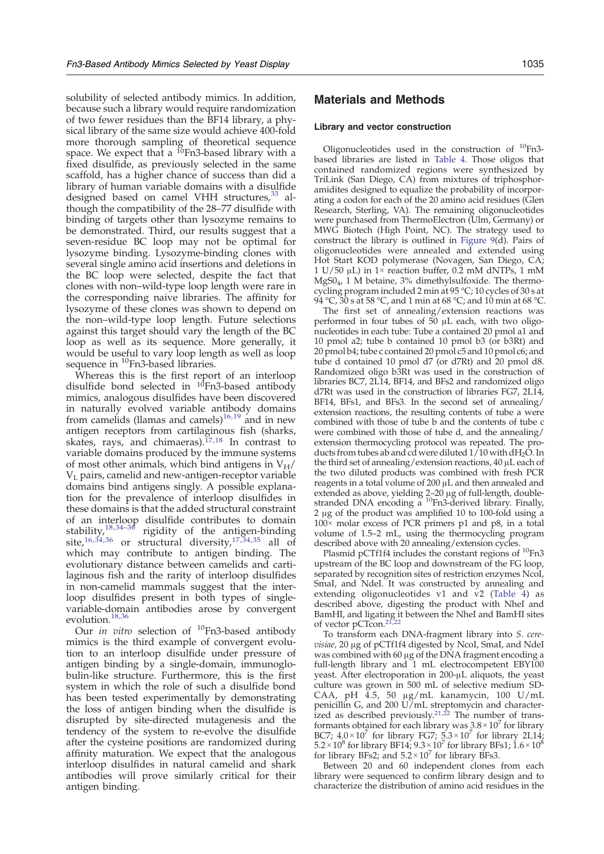solubility of selected antibody mimics. In addition, because such a library would require randomization of two fewer residues than the BF14 library, a physical library of the same size would achieve 400-fold more thorough sampling of theoretical sequence space. We expect that a <sup>10</sup>Fn3-based library with a fixed disulfide, as previously selected in the same scaffold, has a higher chance of success than did a library of human variable domains with a disulfide designed based on camel VHH structures,<sup>[33](#page-16-0)</sup> although the compatibility of the 28–77 disulfide with binding of targets other than lysozyme remains to be demonstrated. Third, our results suggest that a seven-residue BC loop may not be optimal for lysozyme binding. Lysozyme-binding clones with several single amino acid insertions and deletions in the BC loop were selected, despite the fact that clones with non–wild-type loop length were rare in the corresponding naive libraries. The affinity for lysozyme of these clones was shown to depend on the non–wild-type loop length. Future selections against this target should vary the length of the BC loop as well as its sequence. More generally, it would be useful to vary loop length as well as loop sequence in <sup>10</sup>Fn3-based libraries.

Whereas this is the first report of an interloop disulfide bond selected in  $10$ Fn3-based antibody mimics, analogous disulfides have been discovered in naturally evolved variable antibody domains from camelids (llamas and camels)<sup>[16,19](#page-16-0)</sup> and in new antigen receptors from cartilaginous fish (sharks, skates, rays, and chimaeras). $17,18$  In contrast to variable domains produced by the immune systems of most other animals, which bind antigens in  $V_H$ / VL pairs, camelid and new-antigen-receptor variable domains bind antigens singly. A possible explanation for the prevalence of interloop disulfides in these domains is that the added structural constraint of an inte[rloop](#page-17-0) disulfide contributes to domain stability[,](#page-16-0)[18,](#page-16-0)34–<sup>36</sup> rigidity of the antigen-binding site, $16,34,36$  $16,34,36$  or structural diversity, $17,34,35$  $17,34,35$  $17,34,35$  $17,34,35$  all of which may contribute to antigen binding. The evolutionary distance between camelids and cartilaginous fish and the rarity of interloop disulfides in non-camelid mammals suggest that the interloop disulfides present in both types of singlevariable-domain antibodies arose by convergent evolution.<sup>[18](#page-16-0)[,36](#page-17-0)</sup>

Our *in vitro* selection of  $^{10}$ Fn3-based antibody mimics is the third example of convergent evolution to an interloop disulfide under pressure of antigen binding by a single-domain, immunoglobulin-like structure. Furthermore, this is the first system in which the role of such a disulfide bond has been tested experimentally by demonstrating the loss of antigen binding when the disulfide is disrupted by site-directed mutagenesis and the tendency of the system to re-evolve the disulfide after the cysteine positions are randomized during affinity maturation. We expect that the analogous interloop disulfides in natural camelid and shark antibodies will prove similarly critical for their antigen binding.

# Materials and Methods

#### Library and vector construction

Oligonucleotides used in the construction of  $^{10}$ Fn3based libraries are listed in [Table 4](#page-12-0). Those oligos that contained randomized regions were synthesized by TriLink (San Diego, CA) from mixtures of triphosphoramidites designed to equalize the probability of incorporating a codon for each of the 20 amino acid residues (Glen Research, Sterling, VA). The remaining oligonucleotides were purchased from ThermoElectron (Ulm, Germany) or MWG Biotech (High Point, NC). The strategy used to construct the library is outlined in [Figure 9](#page-13-0)(d). Pairs of oligonucleotides were annealed and extended using Hot Start KOD polymerase (Novagen, San Diego, CA; 1 U/50 μL) in  $1\times$  reaction buffer, 0.2 mM dNTPs, 1 mM MgS04, 1 M betaine, 3% dimethylsulfoxide. The thermocycling program included 2 min at 95 °C; 10 cycles of 30 s at 94 °C, 30 s at 58 °C, and 1 min at 68 °C; and 10 min at 68 °C.

The first set of annealing/extension reactions was performed in four tubes of  $\overline{50}$   $\mu$ L each, with two oligonucleotides in each tube: Tube a contained 20 pmol a1 and 10 pmol a2; tube b contained 10 pmol b3 (or b3Rt) and 20 pmol b4; tube c contained 20 pmol c5 and 10 pmol c6; and tube d contained 10 pmol d7 (or d7Rt) and 20 pmol d8. Randomized oligo b3Rt was used in the construction of libraries BC7, 2L14, BF14, and BFs2 and randomized oligo d7Rt was used in the construction of libraries FG7, 2L14, BF14, BFs1, and BFs3. In the second set of annealing/ extension reactions, the resulting contents of tube a were combined with those of tube b and the contents of tube c were combined with those of tube d, and the annealing/ extension thermocycling protocol was repeated. The products from tubes ab and cd were diluted  $1/10$  with dH<sub>2</sub>O. In the third set of annealing/extension reactions, 40 μL each of the two diluted products was combined with fresh PCR reagents in a total volume of 200 μL and then annealed and extended as above, yielding 2–20 μg of full-length, doublestranded DNA encoding a <sup>10</sup>Fn3-derived library. Finally, 2 μg of the product was amplified 10 to 100-fold using a 100× molar excess of PCR primers p1 and p8, in a total volume of 1.5–2 mL, using the thermocycling program described above with 20 annealing/extension cycles.

Plasmid pCTf1f4 includes the constant regions of <sup>10</sup>Fn3 upstream of the BC loop and downstream of the FG loop, separated by recognition sites of restriction enzymes NcoI, SmaI, and NdeI. It was constructed by annealing and extending oligonucleotides v1 and  $v2$  [\(Table 4](#page-12-0)) as described above, digesting the product with NheI and BamHI, and ligating it between the NheI and BamHI sites of vector pCTcon.<sup>[21,22](#page-16-0)</sup>

To transform each DNA-fragment library into S. cerevisiae, 20 μg of pCTf1f4 digested by NcoI, SmaI, and NdeI was combined with 60 μg of the DNA fragment encoding a full-length library and 1 mL electrocompetent EBY100 yeast. After electroporation in 200-μL aliquots, the yeast culture was grown in 500 mL of selective medium SD-CAA, pH 4.5, 50 μg/mL kanamycin, 100 U/mL penicillin G, and 200 U/mL streptomycin and character-ized as described previously.<sup>[21](#page-16-0),[22](#page-16-0)</sup> The number of transformants obtained for each library was  $3.8 \times 10^7$  for library BC7;  $4.0 \times 10^7$  for library FG7;  $5.3 \times 10^7$  for library 2L14;  $5.2\!\times\!10^8$  for library BF14;  $9.3\!\times\!10^7$  for library BFs1;  $1.6\!\times\!10^8$ for library BFs2; and  $5.2 \times 10^7$  for library BFs3.

Between 20 and 60 independent clones from each library were sequenced to confirm library design and to characterize the distribution of amino acid residues in the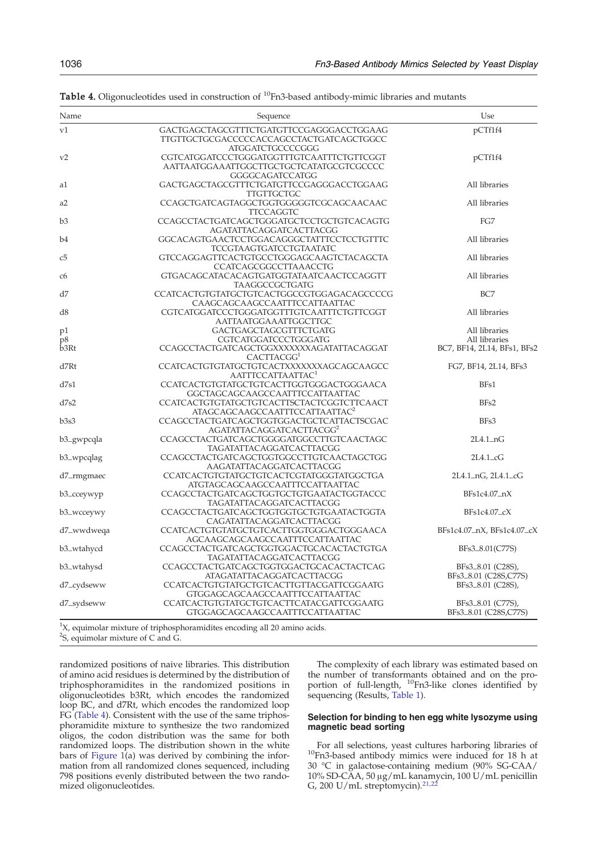| Name       | Sequence                                                                                                 | Use                                        |
|------------|----------------------------------------------------------------------------------------------------------|--------------------------------------------|
| v1         | GACTGAGCTAGCGTTTCTGATGTTCCGAGGGACCTGGAAG<br>TTGTTGCTGCGACCCCCACCAGCCTACTGATCAGCTGGCC<br>ATGGATCTGCCCCGGG | pCTf1f4                                    |
| v2         | CGTCATGGATCCCTGGGATGGTTTGTCAATTTCTGTTCGGT<br>AATTAATGGAAATTGGCTTGCTGCTCATATGCGTCGCCCC<br>GGGGCAGATCCATGG | pCTf1f4                                    |
| al         | GACTGAGCTAGCGTTTCTGATGTTCCGAGGGACCTGGAAG<br><b>TTGTTGCTGC</b>                                            | All libraries                              |
| a2         | CCAGCTGATCAGTAGGCTGGTGGGGGTCGCAGCAACAAC<br><b>TTCCAGGTC</b>                                              | All libraries                              |
| b3         | CCAGCCTACTGATCAGCTGGGATGCTCCTGCTGTCACAGTG<br>AGATATTACAGGATCACTTACGG                                     | FG7                                        |
| b4         | GGCACAGTGAACTCCTGGACAGGGCTATTTCCTCCTGTTTC<br><b>TCCGTAAGTGATCCTGTAATATC</b>                              | All libraries                              |
| c5         | GTCCAGGAGTTCACTGTGCCTGGGAGCAAGTCTACAGCTA<br>CCATCAGCGGCCTTAAACCTG                                        | All libraries                              |
| c6         | GTGACAGCATACACAGTGATGGTATAATCAACTCCAGGTT<br>TAAGGCCGCTGATG                                               | All libraries                              |
| d7         | CCATCACTGTGTATGCTGTCACTGGCCGTGGAGACAGCCCCG<br>CAAGCAGCAAGCCAATTTCCATTAATTAC                              | BC7                                        |
| d8         | CGTCATGGATCCCTGGGATGGTTTGTCAATTTCTGTTCGGT<br>AATTAATGGAAATTGGCTTGC                                       | All libraries                              |
| p1<br>р8   | GACTGAGCTAGCGTTTCTGATG<br>CGTCATGGATCCCTGGGATG                                                           | All libraries<br>All libraries             |
| b3Rt       | CCAGCCTACTGATCAGCTGGXXXXXXXAGATATTACAGGAT<br>CACTTACGG <sup>1</sup>                                      | BC7, BF14, 2L14, BFs1, BFs2                |
| d7Rt       | CCATCACTGTGTATGCTGTCACTXXXXXXXAGCAGCAAGCC<br>AATTTCCATTAATTAC <sup>1</sup>                               | FG7, BF14, 2L14, BFs3                      |
| d7s1       | CCATCACTGTGTATGCTGTCACTTGGTGGGACTGGGAACA<br>GGCTAGCAGCAAGCCAATTTCCATTAATTAC                              | BF <sub>s1</sub>                           |
| d7s2       | CCATCACTGTGTATGCTGTCACTTSCTACTCGGTCTTCAACT<br>ATAGCAGCAAGCCAATTTCCATTAATTAC <sup>2</sup>                 | BFs2                                       |
| b3s3       | CCAGCCTACTGATCAGCTGGTGGACTGCTCATTACTSCGAC<br>AGATATTACAGGATCACTTACGG <sup>2</sup>                        | BFs3                                       |
| b3_gwpcqla | CCAGCCTACTGATCAGCTGGGGATGGCCTTGTCAACTAGC<br>TAGATATTACAGGATCACTTACGG                                     | $2L4.1-nG$                                 |
| b3_wpcqlag | CCAGCCTACTGATCAGCTGGTGGCCTTGTCAACTAGCTGG<br>AAGATATTACAGGATCACTTACGG                                     | $2L4.1\_\text{c}$ G                        |
| d7_rmgmaec | CCATCACTGTGTATGCTGTCACTCGTATGGGTATGGCTGA<br>ATGTAGCAGCAAGCCAATTTCCATTAATTAC                              | 2L4.1_nG, 2L4.1_cG                         |
| b3_cceywyp | CCAGCCTACTGATCAGCTGGTGCTGTGAATACTGGTACCC<br>TAGATATTACAGGATCACTTACGG                                     | BFs1c4.07_nX                               |
| b3_wcceywy | CCAGCCTACTGATCAGCTGGTGGTGCTGTGAATACTGGTA<br>CAGATATTACAGGATCACTTACGG                                     | $BFs1c4.07_cX$                             |
| d7_wwdweqa | CCATCACTGTGTATGCTGTCACTTGGTGGGACTGGGAACA<br>AGCAAGCAGCAAGCCAATTTCCATTAATTAC                              | BFs1c4.07_nX, BFs1c4.07_cX                 |
| b3_wtahycd | CCAGCCTACTGATCAGCTGGTGGACTGCACACTACTGTGA<br>TAGATATTACAGGATCACTTACGG                                     | BFs3_8.01(C77S)                            |
| b3_wtahysd | CCAGCCTACTGATCAGCTGGTGGACTGCACACTACTCAG<br>ATAGATATTACAGGATCACTTACGG                                     | BFs3_8.01 (C28S),                          |
| d7_cydseww | CCATCACTGTGTATGCTGTCACTTGTTACGATTCGGAATG<br>GTGGAGCAGCAAGCCAATTTCCATTAATTAC                              | BFs3_8.01 (C28S,C77S)<br>BFs3_8.01 (C28S), |
| d7_sydseww | CCATCACTGTGTATGCTGTCACTTCATACGATTCGGAATG<br>GTGGAGCAGCAAGCCAATTTCCATTAATTAC                              | BFs3_8.01 (C77S),<br>BFs3_8.01 (C28S,C77S) |

<span id="page-12-0"></span>Table 4. Oligonucleotides used in construction of <sup>10</sup>Fn3-based antibody-mimic libraries and mutants

 ${}^{1}X$ , equimolar mixture of triphosphoramidites encoding all 20 amino acids. <sup>2</sup>S, equimolar mixture of C and G.

randomized positions of naive libraries. This distribution of amino acid residues is determined by the distribution of triphosphoramidites in the randomized positions in oligonucleotides b3Rt, which encodes the randomized loop BC, and d7Rt, which encodes the randomized loop FG (Table 4). Consistent with the use of the same triphosphoramidite mixture to synthesize the two randomized oligos, the codon distribution was the same for both randomized loops. The distribution shown in the white bars of Figure  $1(a)$  was derived by combining the information from all randomized clones sequenced, including 798 positions evenly distributed between the two randomized oligonucleotides.

The complexity of each library was estimated based on the number of transformants obtained and on the proportion of full-length, <sup>10</sup>Fn3-like clones identified by sequencing (Results, [Table 1\)](#page-2-0).

## Selection for binding to hen egg white lysozyme using magnetic bead sorting

For all selections, yeast cultures harboring libraries of 10Fn3-based antibody mimics were induced for 18 h at 30 °C in galactose-containing medium (90% SG-CAA/ 10% SD-CAA, 50 μg/mL kanamycin, 100 U/mL penicillin G, 200 U/mL streptomycin). $21,22$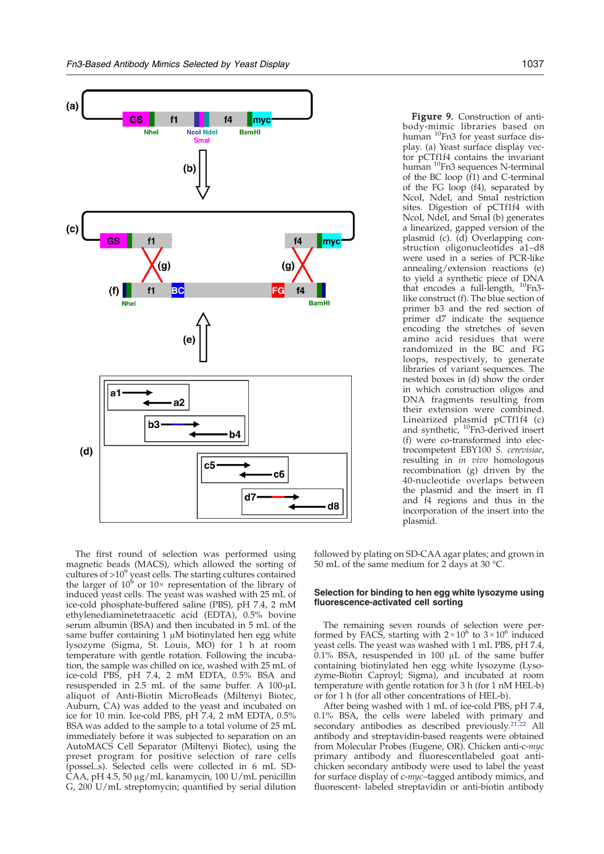<span id="page-13-0"></span>

The first round of selection was performed using magnetic beads (MACS), which allowed the sorting of cultures of  $>10^9$  yeast cells. The starting cultures contained the larger of  $10^6$  or  $10 \times$  representation of the library of induced yeast cells. The yeast was washed with 25 mL of ice-cold phosphate-buffered saline (PBS), pH 7.4, 2 mM ethylenediaminetetraacetic acid (EDTA), 0.5% bovine serum albumin (BSA) and then incubated in 5 mL of the same buffer containing 1 μM biotinylated hen egg white lysozyme (Sigma, St. Louis, MO) for 1 h at room temperature with gentle rotation. Following the incubation, the sample was chilled on ice, washed with 25 mL of ice-cold PBS, pH 7.4, 2 mM EDTA, 0.5% BSA and resuspended in 2.5 mL of the same buffer. A 100-μL aliquot of Anti-Biotin MicroBeads (Miltenyi Biotec, Auburn, CA) was added to the yeast and incubated on ice for 10 min. Ice-cold PBS, pH 7.4, 2 mM EDTA, 0.5% BSA was added to the sample to a total volume of 25 mL immediately before it was subjected to separation on an AutoMACS Cell Separator (Miltenyi Biotec), using the preset program for positive selection of rare cells (possel\_s). Selected cells were collected in 6 mL SD-CAA, pH 4.5, 50 μg/mL kanamycin, 100 U/mL penicillin G, 200 U/mL streptomycin; quantified by serial dilution

Figure 9. Construction of antibody-mimic libraries based on human <sup>10</sup>Fn3 for yeast surface display. (a) Yeast surface display vector pCTf1f4 contains the invariant human 10Fn3 sequences N-terminal of the BC loop (f1) and C-terminal of the FG loop (f4), separated by NcoI, NdeI, and SmaI restriction sites. Digestion of pCTf1f4 with NcoI, NdeI, and SmaI (b) generates a linearized, gapped version of the plasmid (c). (d) Overlapping construction oligonucleotides a1–d8 were used in a series of PCR-like annealing/extension reactions (e) to yield a synthetic piece of DNA that encodes a full-length, 10Fn3 like construct (f). The blue section of primer b3 and the red section of primer d7 indicate the sequence encoding the stretches of seven amino acid residues that were randomized in the BC and FG loops, respectively, to generate libraries of variant sequences. The nested boxes in (d) show the order in which construction oligos and DNA fragments resulting from their extension were combined. Linearized plasmid pCTf1f4 (c) and synthetic,  ${}^{10}$ Fn3-derived insert (f) were co-transformed into electrocompetent EBY100 S. cerevisiae, resulting in in vivo homologous recombination (g) driven by the 40-nucleotide overlaps between the plasmid and the insert in f1 and f4 regions and thus in the incorporation of the insert into the

followed by plating on SD-CAA agar plates; and grown in 50 mL of the same medium for 2 days at 30 °C.

plasmid.

## Selection for binding to hen egg white lysozyme using fluorescence-activated cell sorting

The remaining seven rounds of selection were performed by FACS, starting with  $2 \times 10^6$  to  $3 \times 10^6$  induced yeast cells. The yeast was washed with 1 mL PBS, pH 7.4, 0.1% BSA, resuspended in 100 μL of the same buffer containing biotinylated hen egg white lysozyme (Lysozyme-Biotin Caproyl; Sigma), and incubated at room temperature with gentle rotation for 3 h (for 1 nM HEL-b) or for 1 h (for all other concentrations of HEL-b).

After being washed with 1 mL of ice-cold PBS, pH 7.4, 0.1% BSA, the cells were labeled with primary and secondary antibodies as described previously.<sup>[21](#page-16-0),[22](#page-16-0)</sup> All antibody and streptavidin-based reagents were obtained from Molecular Probes (Eugene, OR). Chicken anti-c-myc primary antibody and fluorescentlabeled goat antichicken secondary antibody were used to label the yeast for surface display of c-myc–tagged antibody mimics, and fluorescent- labeled streptavidin or anti-biotin antibody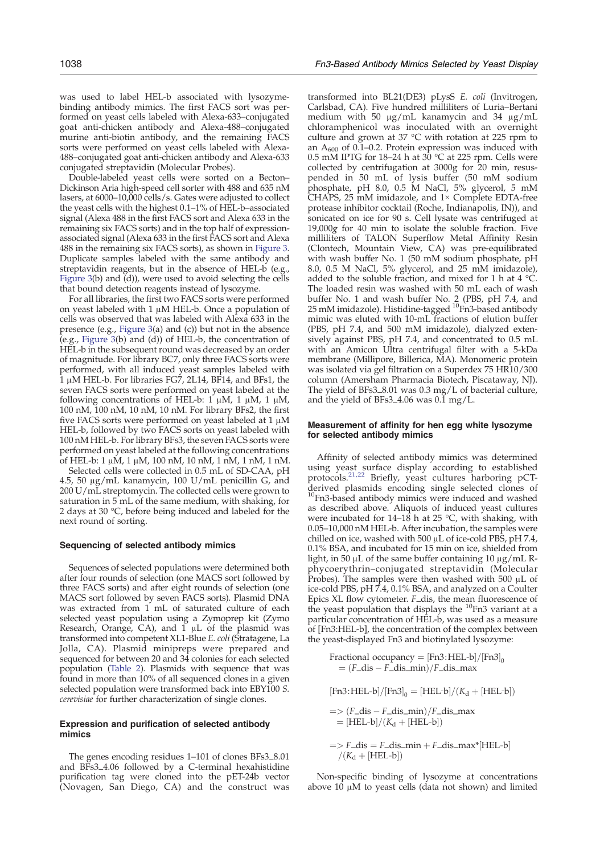was used to label HEL-b associated with lysozymebinding antibody mimics. The first FACS sort was performed on yeast cells labeled with Alexa-633–conjugated goat anti-chicken antibody and Alexa-488–conjugated murine anti-biotin antibody, and the remaining FACS sorts were performed on yeast cells labeled with Alexa-488–conjugated goat anti-chicken antibody and Alexa-633 conjugated streptavidin (Molecular Probes).

Double-labeled yeast cells were sorted on a Becton– Dickinson Aria high-speed cell sorter with 488 and 635 nM lasers, at 6000–10,000 cells/s. Gates were adjusted to collect the yeast cells with the highest 0.1-1% of HÉL-b-associated signal (Alexa 488 in the first FACS sort and Alexa 633 in the remaining six FACS sorts) and in the top half of expressionassociated signal (Alexa 633 in the first FACS sort and Alexa 488 in the remaining six FACS sorts), as shown in [Figure 3](#page-6-0). Duplicate samples labeled with the same antibody and streptavidin reagents, but in the absence of HEL-b (e.g., Figure  $3(b)$  and  $\ddot{d}$ ), were used to avoid selecting the cells that bound detection reagents instead of lysozyme.

For all libraries, the first two FACS sorts were performed on yeast labeled with 1 μM HEL-b. Once a population of cells was observed that was labeled with Alexa 633 in the presence (e.g., [Figure 3](#page-6-0)(a) and (c)) but not in the absence (e.g., [Figure 3\(](#page-6-0)b) and (d)) of HEL-b, the concentration of HEL-b in the subsequent round was decreased by an order of magnitude. For library BC7, only three FACS sorts were performed, with all induced yeast samples labeled with 1 μM HEL-b. For libraries FG7, 2L14, BF14, and BFs1, the seven FACS sorts were performed on yeast labeled at the following concentrations of HEL-b: 1 μM, 1 μM, 1 μM, 100 nM, 100 nM, 10 nM, 10 nM. For library BFs2, the first five FACS sorts were performed on yeast labeled at 1 μM HEL-b, followed by two FACS sorts on yeast labeled with 100 nM HEL-b. For library BFs3, the seven FACS sorts were performed on yeast labeled at the following concentrations of HEL-b: 1 μM, 1 μM, 100 nM, 10 nM, 1 nM, 1 nM, 1 nM.

Selected cells were collected in 0.5 mL of SD-CAA, pH 4.5, 50 μg/mL kanamycin, 100 U/mL penicillin G, and 200 U/mL streptomycin. The collected cells were grown to saturation in 5 mL of the same medium, with shaking, for 2 days at 30 °C, before being induced and labeled for the next round of sorting.

#### Sequencing of selected antibody mimics

Sequences of selected populations were determined both after four rounds of selection (one MACS sort followed by three FACS sorts) and after eight rounds of selection (one MACS sort followed by seven FACS sorts). Plasmid DNA was extracted from 1 mL of saturated culture of each selected yeast population using a Zymoprep kit (Zymo Research, Orange, CA), and  $\tilde{1}$   $\mu$ L of the plasmid was transformed into competent XL1-Blue E. coli (Stratagene, La Jolla, CA). Plasmid minipreps were prepared and sequenced for between 20 and 34 colonies for each selected population ([Table 2\)](#page-4-0). Plasmids with sequence that was found in more than 10% of all sequenced clones in a given selected population were transformed back into EBY100 S. cerevisiae for further characterization of single clones.

### Expression and purification of selected antibody mimics

The genes encoding residues 1–101 of clones BFs3\_8.01 and BFs3\_4.06 followed by a C-terminal hexahistidine purification tag were cloned into the pET-24b vector (Novagen, San Diego, CA) and the construct was

transformed into BL21(DE3) pLysS E. coli (Invitrogen, Carlsbad, CA). Five hundred milliliters of Luria–Bertani medium with 50 μg/mL kanamycin and 34 μg/mL chloramphenicol was inoculated with an overnight culture and grown at 37 °C with rotation at 225 rpm to an  $A_{600}$  of 0.1–0.2. Protein expression was induced with 0.5 mM IPTG for 18–24 h at  $30^{\circ}$ C at 225 rpm. Cells were collected by centrifugation at 3000g for 20 min, resuspended in 50 mL of lysis buffer (50 mM sodium phosphate, pH 8.0, 0.5 M NaCl, 5% glycerol, 5 mM CHAPS, 25 mM imidazole, and 1× Complete EDTA-free protease inhibitor cocktail (Roche, Indianapolis, IN)), and sonicated on ice for 90 s. Cell lysate was centrifuged at 19,000g for 40 min to isolate the soluble fraction. Five milliliters of TALON Superflow Metal Affinity Resin (Clontech, Mountain View, CA) was pre-equilibrated with wash buffer No. 1 (50 mM sodium phosphate, pH 8.0, 0.5 M NaCl, 5% glycerol, and 25 mM imidazole), added to the soluble fraction, and mixed for 1 h at 4 °C. The loaded resin was washed with 50 mL each of wash buffer No. 1 and wash buffer No. 2 (PBS, pH 7.4, and 25 mM imidazole). Histidine-tagged  ${}^{10}$ Fn3-based antibody mimic was eluted with 10-mL fractions of elution buffer (PBS, pH 7.4, and 500 mM imidazole), dialyzed extensively against PBS, pH 7.4, and concentrated to 0.5 mL with an Amicon Ultra centrifugal filter with a 5-kDa membrane (Millipore, Billerica, MA). Monomeric protein was isolated via gel filtration on a Superdex 75 HR10/300 column (Amersham Pharmacia Biotech, Piscataway, NJ). The yield of BFs3\_8.01 was 0.3 mg/L of bacterial culture, and the yield of BFs3\_4.06 was 0.1 mg/L.

## Measurement of affinity for hen egg white lysozyme for selected antibody mimics

Affinity of selected antibody mimics was determined using yeast surface display according to established protocols.<sup>[21,22](#page-16-0)</sup> Briefly, yeast cultures harboring pCTderived plasmids encoding single selected clones of <sup>10</sup>Fn3-based antibody mimics were induced and washed as described above. Aliquots of induced yeast cultures were incubated for  $14-18$  h at  $25$  °C, with shaking, with 0.05–10,000 nM HEL-b. After incubation, the samples were chilled on ice, washed with 500 μL of ice-cold PBS, pH 7.4, 0.1% BSA, and incubated for 15 min on ice, shielded from light, in 50 μL of the same buffer containing 10 μg/mL Rphycoerythrin–conjugated streptavidin (Molecular Probes). The samples were then washed with 500 μL of ice-cold PBS, pH 7.4, 0.1% BSA, and analyzed on a Coulter Epics XL flow cytometer. F\_dis, the mean fluorescence of the yeast population that displays the <sup>10</sup>Fn3 variant at a particular concentration of HEL-b, was used as a measure of [Fn3:HEL-b], the concentration of the complex between the yeast-displayed Fn3 and biotinylated lysozyme:

Fractional occupancy =  $[Fn3:HEL-b]/[Fn3]_0$  $=(F_{\text{d}}\cdot\text{d}s - F_{\text{d}}\cdot\text{d}s_{\text{d}}\cdot\text{d}s_{\text{d}})/F_{\text{d}}\cdot\text{d}s_{\text{d}}$ 

 $[Fn3: HEL-b]/[Fn3]_0 = [HEL-b]/(K_d + [HEL-b])$ 

 $\Rightarrow$  (*F* $\Delta$ dis – *F* $\Delta$ dis $\Delta$ min $\Delta$ *)* /*F* $\Delta$ dis $\Delta$ max  $=$  [HEL-b]/( $K_d$  + [HEL-b])

 $\gamma = \frac{F_{\text{obs}} - F_{\text{obs}}}{\sqrt{K}} = \frac{F_{\text{obs}} - F_{\text{obs}}}{\sqrt{K}} = \frac{F_{\text{obs}} - F_{\text{obs}}}{\sqrt{K}}$  $/(K_d + [HEL-b])$ 

Non-specific binding of lysozyme at concentrations above 10 μM to yeast cells (data not shown) and limited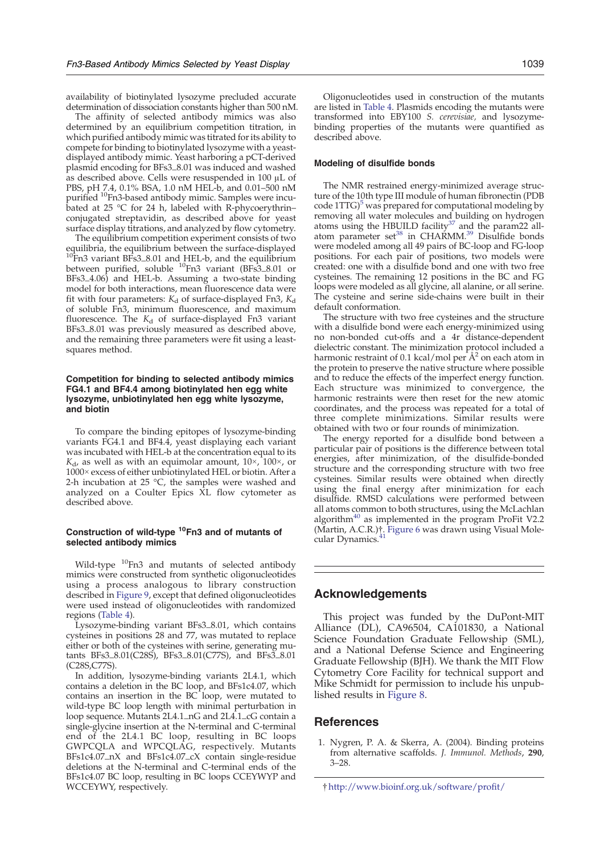<span id="page-15-0"></span>availability of biotinylated lysozyme precluded accurate determination of dissociation constants higher than 500 nM.

The affinity of selected antibody mimics was also determined by an equilibrium competition titration, in which purified antibody mimic was titrated for its ability to compete for binding to biotinylated lysozyme with a yeastdisplayed antibody mimic. Yeast harboring a pCT-derived plasmid encoding for BFs3\_8.01 was induced and washed as described above. Cells were resuspended in 100 μL of PBS, pH 7.4, 0.1% BSA, 1.0 nM HEL-b, and 0.01–500 nM purified 10Fn3-based antibody mimic. Samples were incubated at 25  $\degree$ C for 24 h, labeled with R-phycoerythrin– conjugated streptavidin, as described above for yeast surface display titrations, and analyzed by flow cytometry.

The equilibrium competition experiment consists of two equilibria, the equilibrium between the surface-displayed 10Fn3 variant BFs3\_8.01 and HEL-b, and the equilibrium between purified, soluble <sup>10</sup>Fn3 variant (BFs3\_8.01 or BFs3\_4.06) and HEL-b. Assuming a two-state binding model for both interactions, mean fluorescence data were fit with four parameters:  $K_d$  of surface-displayed Fn3,  $K_d$ of soluble Fn3, minimum fluorescence, and maximum fluorescence. The  $K_d$  of surface-displayed Fn3 variant BFs3\_8.01 was previously measured as described above, and the remaining three parameters were fit using a leastsquares method.

## Competition for binding to selected antibody mimics FG4.1 and BF4.4 among biotinylated hen egg white lysozyme, unbiotinylated hen egg white lysozyme, and biotin

To compare the binding epitopes of lysozyme-binding variants FG4.1 and BF4.4, yeast displaying each variant was incubated with HEL-b at the concentration equal to its  $K_{d}$ , as well as with an equimolar amount,  $10\times$ ,  $100\times$ , or 1000× excess of either unbiotinylated HEL or biotin. After a 2-h incubation at 25  $\degree$ C, the samples were washed and analyzed on a Coulter Epics XL flow cytometer as described above.

## Construction of wild-type  $10$ Fn3 and of mutants of selected antibody mimics

Wild-type <sup>10</sup>Fn3 and mutants of selected antibody mimics were constructed from synthetic oligonucleotides using a process analogous to library construction described in [Figure 9,](#page-13-0) except that defined oligonucleotides were used instead of oligonucleotides with randomized regions ([Table 4\)](#page-12-0).

Lysozyme-binding variant BFs3\_8.01, which contains cysteines in positions 28 and 77, was mutated to replace either or both of the cysteines with serine, generating mutants BFs3\_8.01(C28S), BFs3\_8.01(C77S), and BFs3\_8.01 (C28S,C77S).

In addition, lysozyme-binding variants 2L4.1, which contains a deletion in the BC loop, and BFs1c4.07, which contains an insertion in the BC loop, were mutated to wild-type BC loop length with minimal perturbation in loop sequence. Mutants 2L4.1\_nG and 2L4.1\_cG contain a single-glycine insertion at the N-terminal and C-terminal end of the 2L4.1 BC loop, resulting in BC loops GWPCQLA and WPCQLAG, respectively. Mutants BFs1c4.07\_nX and BFs1c4.07\_cX contain single-residue deletions at the N-terminal and C-terminal ends of the BFs1c4.07 BC loop, resulting in BC loops CCEYWYP and WCCEYWY, respectively.

Oligonucleotides used in construction of the mutants are listed in [Table 4](#page-12-0). Plasmids encoding the mutants were transformed into EBY100 S. cerevisiae, and lysozymebinding properties of the mutants were quantified as described above.

#### Modeling of disulfide bonds

The NMR restrained energy-minimized average structure of the 10th type III module of human fibronectin (PDB code  $1TTG$ <sup> $>$ </sup> was prepared for computational modeling by removing all water molecules and building on hydrogen<br>atoms using the HBUILD facility<sup>[37](#page-17-0)</sup> and the param22 all-atom parameter set<sup>[38](#page-17-0)</sup> in CHARMM.<sup>39</sup> Disulfide bonds were modeled among all 49 pairs of BC-loop and FG-loop positions. For each pair of positions, two models were created: one with a disulfide bond and one with two free cysteines. The remaining 12 positions in the BC and FG loops were modeled as all glycine, all alanine, or all serine. The cysteine and serine side-chains were built in their default conformation.

The structure with two free cysteines and the structure with a disulfide bond were each energy-minimized using no non-bonded cut-offs and a 4r distance-dependent dielectric constant. The minimization protocol included a harmonic restraint of 0.1 kcal/mol per  $A<sup>2</sup>$  on each atom in the protein to preserve the native structure where possible and to reduce the effects of the imperfect energy function. Each structure was minimized to convergence, the harmonic restraints were then reset for the new atomic coordinates, and the process was repeated for a total of three complete minimizations. Similar results were obtained with two or four rounds of minimization.

The energy reported for a disulfide bond between a particular pair of positions is the difference between total energies, after minimization, of the disulfide-bonded structure and the corresponding structure with two free cysteines. Similar results were obtained when directly using the final energy after minimization for each disulfide. RMSD calculations were performed between all atoms common to both structures, using the McLachlan algorithm $40$  as implemented in the program ProFit V2.2 (Martin, A.C.R.)†. [Figure 6](#page-8-0) was drawn using Visual Mole-cular Dynamics.<sup>[41](#page-17-0)</sup>

# Acknowledgements

This project was funded by the DuPont-MIT Alliance (DL), CA96504, CA101830, a National Science Foundation Graduate Fellowship (SML), and a National Defense Science and Engineering Graduate Fellowship (BJH). We thank the MIT Flow Cytometry Core Facility for technical support and Mike Schmidt for permission to include his unpublished results in [Figure 8.](#page-9-0)

## References

1. Nygren, P. A. & Skerra, A. (2004). Binding proteins from alternative scaffolds. J. Immunol. Methods, 290, 3–28.

<sup>†</sup> <http://www.bioinf.org.uk/software/profit/>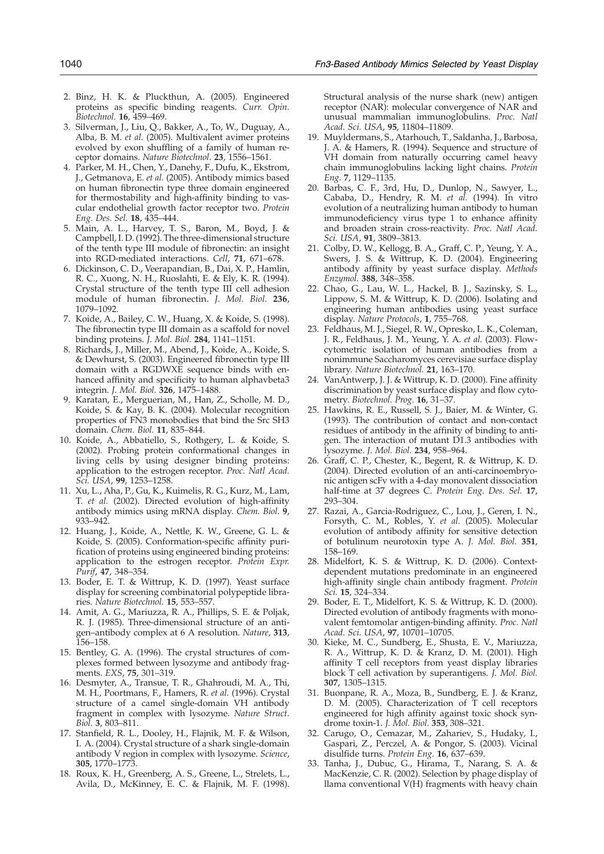- <span id="page-16-0"></span>2. Binz, H. K. & Pluckthun, A. (2005). Engineered proteins as specific binding reagents. Curr. Opin. Biotechnol. 16, 459–469.
- 3. Silverman, J., Liu, Q., Bakker, A., To, W., Duguay, A., Alba, B. M. et al. (2005). Multivalent avimer proteins evolved by exon shuffling of a family of human receptor domains. Nature Biotechnol. 23, 1556–1561.
- 4. Parker, M. H., Chen, Y., Danehy, F., Dufu, K., Ekstrom, J., Getmanova, E. et al. (2005). Antibody mimics based on human fibronectin type three domain engineered for thermostability and high-affinity binding to vascular endothelial growth factor receptor two. Protein Eng. Des. Sel. 18, 435–444.
- 5. Main, A. L., Harvey, T. S., Baron, M., Boyd, J. & Campbell, I. D. (1992). The three-dimensional structure of the tenth type III module of fibronectin: an insight into RGD-mediated interactions. Cell, 71, 671–678.
- 6. Dickinson, C. D., Veerapandian, B., Dai, X. P., Hamlin, R. C., Xuong, N. H., Ruoslahti, E. & Ely, K. R. (1994). Crystal structure of the tenth type III cell adhesion module of human fibronectin. J. Mol. Biol. 236, 1079–1092.
- 7. Koide, A., Bailey, C. W., Huang, X. & Koide, S. (1998). The fibronectin type III domain as a scaffold for novel binding proteins. J. Mol. Biol. 284, 1141–1151.
- 8. Richards, J., Miller, M., Abend, J., Koide, A., Koide, S. & Dewhurst, S. (2003). Engineered fibronectin type III domain with a RGDWXE sequence binds with enhanced affinity and specificity to human alphavbeta3 integrin. J. Mol. Biol. 326, 1475–1488.
- 9. Karatan, E., Merguerian, M., Han, Z., Scholle, M. D., Koide, S. & Kay, B. K. (2004). Molecular recognition properties of FN3 monobodies that bind the Src SH3 domain. Chem. Biol. 11, 835–844.
- 10. Koide, A., Abbatiello, S., Rothgery, L. & Koide, S. (2002). Probing protein conformational changes in living cells by using designer binding proteins: application to the estrogen receptor. Proc. Natl Acad. Sci. USA, 99, 1253–1258.
- 11. Xu, L., Aha, P., Gu, K., Kuimelis, R. G., Kurz, M., Lam, T. et al. (2002). Directed evolution of high-affinity antibody mimics using mRNA display. Chem. Biol. 9, 933–942.
- 12. Huang, J., Koide, A., Nettle, K. W., Greene, G. L. & Koide, S. (2005). Conformation-specific affinity purification of proteins using engineered binding proteins: application to the estrogen receptor. Protein Expr. Purif, 47, 348–354.
- 13. Boder, E. T. & Wittrup, K. D. (1997). Yeast surface display for screening combinatorial polypeptide libraries. Nature Biotechnol. 15, 553–557.
- 14. Amit, A. G., Mariuzza, R. A., Phillips, S. E. & Poljak, R. J. (1985). Three-dimensional structure of an antigen–antibody complex at 6 A resolution. Nature, 313, 156–158.
- 15. Bentley, G. A. (1996). The crystal structures of complexes formed between lysozyme and antibody fragments. EXS, 75, 301–319.
- 16. Desmyter, A., Transue, T. R., Ghahroudi, M. A., Thi, M. H., Poortmans, F., Hamers, R. et al. (1996). Crystal structure of a camel single-domain VH antibody fragment in complex with lysozyme. Nature Struct. Biol. 3, 803–811.
- 17. Stanfield, R. L., Dooley, H., Flajnik, M. F. & Wilson, I. A. (2004). Crystal structure of a shark single-domain antibody V region in complex with lysozyme. Science, 305, 1770–1773.
- 18. Roux, K. H., Greenberg, A. S., Greene, L., Strelets, L., Avila, D., McKinney, E. C. & Flajnik, M. F. (1998).

Structural analysis of the nurse shark (new) antigen receptor (NAR): molecular convergence of NAR and unusual mammalian immunoglobulins. Proc. Natl Acad. Sci. USA, 95, 11804–11809.

- 19. Muyldermans, S., Atarhouch, T., Saldanha, J., Barbosa, J. A. & Hamers, R. (1994). Sequence and structure of VH domain from naturally occurring camel heavy chain immunoglobulins lacking light chains. Protein Eng. 7, 1129–1135.
- 20. Barbas, C. F., 3rd, Hu, D., Dunlop, N., Sawyer, L., Cababa, D., Hendry, R. M. et al. (1994). In vitro evolution of a neutralizing human antibody to human immunodeficiency virus type 1 to enhance affinity and broaden strain cross-reactivity. Proc. Natl Acad. Sci. USA, 91, 3809–3813.
- 21. Colby, D. W., Kellogg, B. A., Graff, C. P., Yeung, Y. A., Swers, J. S. & Wittrup, K. D. (2004). Engineering antibody affinity by yeast surface display. Methods Enzymol. 388, 348–358.
- 22. Chao, G., Lau, W. L., Hackel, B. J., Sazinsky, S. L., Lippow, S. M. & Wittrup, K. D. (2006). Isolating and engineering human antibodies using yeast surface display. Nature Protocols, 1, 755–768.
- 23. Feldhaus, M. J., Siegel, R. W., Opresko, L. K., Coleman, J. R., Feldhaus, J. M., Yeung, Y. A. et al. (2003). Flowcytometric isolation of human antibodies from a nonimmune Saccharomyces cerevisiae surface display library. Nature Biotechnol. 21, 163–170.
- 24. VanAntwerp, J. J. & Wittrup, K. D. (2000). Fine affinity discrimination by yeast surface display and flow cytometry. Biotechnol. Prog. 16, 31–37.
- 25. Hawkins, R. E., Russell, S. J., Baier, M. & Winter, G. (1993). The contribution of contact and non-contact residues of antibody in the affinity of binding to antigen. The interaction of mutant D1.3 antibodies with lysozyme. J. Mol. Biol. 234, 958–964.
- 26. Graff, C. P., Chester, K., Begent, R. & Wittrup, K. D. (2004). Directed evolution of an anti-carcinoembryonic antigen scFv with a 4-day monovalent dissociation half-time at 37 degrees C. Protein Eng. Des. Sel. 17, 293–304.
- 27. Razai, A., Garcia-Rodriguez, C., Lou, J., Geren, I. N., Forsyth, C. M., Robles, Y. et al. (2005). Molecular evolution of antibody affinity for sensitive detection of botulinum neurotoxin type A. J. Mol. Biol. 351, 158–169.
- 28. Midelfort, K. S. & Wittrup, K. D. (2006). Contextdependent mutations predominate in an engineered high-affinity single chain antibody fragment. Protein Sci. 15, 324–334.
- 29. Boder, E. T., Midelfort, K. S. & Wittrup, K. D. (2000). Directed evolution of antibody fragments with monovalent femtomolar antigen-binding affinity. Proc. Natl Acad. Sci. USA, 97, 10701–10705.
- 30. Kieke, M. C., Sundberg, E., Shusta, E. V., Mariuzza, R. A., Wittrup, K. D. & Kranz, D. M. (2001). High affinity T cell receptors from yeast display libraries block T cell activation by superantigens. J. Mol. Biol. 307, 1305–1315.
- 31. Buonpane, R. A., Moza, B., Sundberg, E. J. & Kranz, D. M. (2005). Characterization of T cell receptors engineered for high affinity against toxic shock syndrome toxin-1. J. Mol. Biol. 353, 308–321.
- 32. Carugo, O., Cemazar, M., Zahariev, S., Hudaky, I., Gaspari, Z., Perczel, A. & Pongor, S. (2003). Vicinal disulfide turns. Protein Eng. 16, 637–639.
- 33. Tanha, J., Dubuc, G., Hirama, T., Narang, S. A. & MacKenzie, C. R. (2002). Selection by phage display of llama conventional V(H) fragments with heavy chain